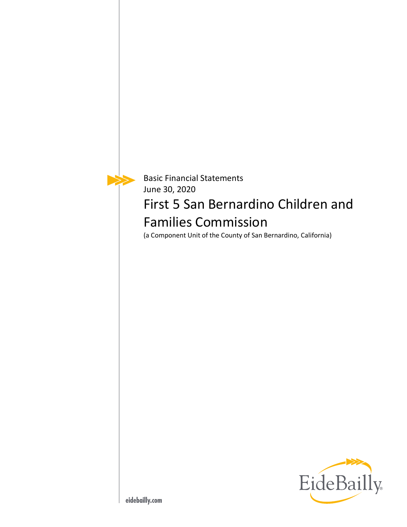

Basic Financial Statements June 30, 2020

# First 5 San Bernardino Children and

# Families Commission

(a Component Unit of the County of San Bernardino, California)

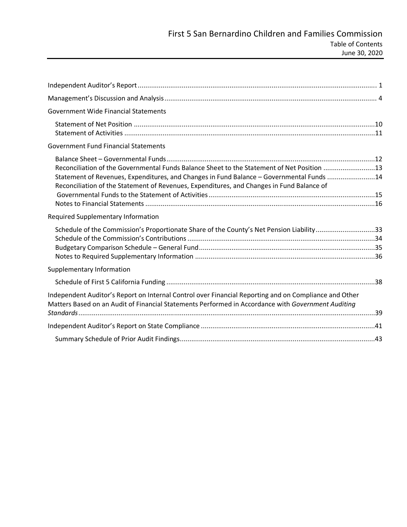| <b>Government Wide Financial Statements</b>                                                                                                                                                                                                                                         |  |
|-------------------------------------------------------------------------------------------------------------------------------------------------------------------------------------------------------------------------------------------------------------------------------------|--|
|                                                                                                                                                                                                                                                                                     |  |
| <b>Government Fund Financial Statements</b>                                                                                                                                                                                                                                         |  |
| Reconciliation of the Governmental Funds Balance Sheet to the Statement of Net Position 13<br>Statement of Revenues, Expenditures, and Changes in Fund Balance - Governmental Funds 14<br>Reconciliation of the Statement of Revenues, Expenditures, and Changes in Fund Balance of |  |
| <b>Required Supplementary Information</b>                                                                                                                                                                                                                                           |  |
| Schedule of the Commission's Proportionate Share of the County's Net Pension Liability33                                                                                                                                                                                            |  |
| Supplementary Information                                                                                                                                                                                                                                                           |  |
|                                                                                                                                                                                                                                                                                     |  |
| Independent Auditor's Report on Internal Control over Financial Reporting and on Compliance and Other<br>Matters Based on an Audit of Financial Statements Performed in Accordance with Government Auditing                                                                         |  |
|                                                                                                                                                                                                                                                                                     |  |
|                                                                                                                                                                                                                                                                                     |  |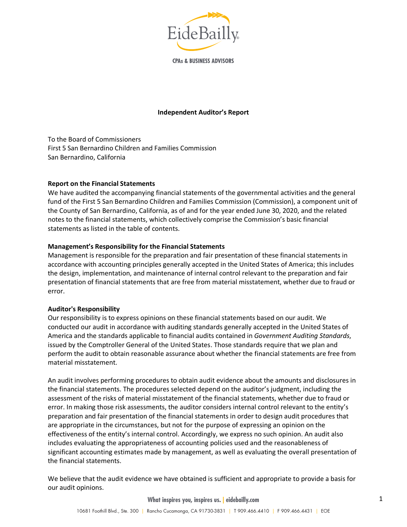

**CPAs & BUSINESS ADVISORS** 

#### **Independent Auditor's Report**

To the Board of Commissioners First 5 San Bernardino Children and Families Commission San Bernardino, California

#### **Report on the Financial Statements**

We have audited the accompanying financial statements of the governmental activities and the general fund of the First 5 San Bernardino Children and Families Commission (Commission), a component unit of the County of San Bernardino, California, as of and for the year ended June 30, 2020, and the related notes to the financial statements, which collectively comprise the Commission's basic financial statements as listed in the table of contents.

#### **Management's Responsibility for the Financial Statements**

Management is responsible for the preparation and fair presentation of these financial statements in accordance with accounting principles generally accepted in the United States of America; this includes the design, implementation, and maintenance of internal control relevant to the preparation and fair presentation of financial statements that are free from material misstatement, whether due to fraud or error.

#### **Auditor's Responsibility**

Our responsibility is to express opinions on these financial statements based on our audit. We conducted our audit in accordance with auditing standards generally accepted in the United States of America and the standards applicable to financial audits contained in *Government Auditing Standards*, issued by the Comptroller General of the United States. Those standards require that we plan and perform the audit to obtain reasonable assurance about whether the financial statements are free from material misstatement.

An audit involves performing procedures to obtain audit evidence about the amounts and disclosures in the financial statements. The procedures selected depend on the auditor's judgment, including the assessment of the risks of material misstatement of the financial statements, whether due to fraud or error. In making those risk assessments, the auditor considers internal control relevant to the entity's preparation and fair presentation of the financial statements in order to design audit procedures that are appropriate in the circumstances, but not for the purpose of expressing an opinion on the effectiveness of the entity's internal control. Accordingly, we express no such opinion. An audit also includes evaluating the appropriateness of accounting policies used and the reasonableness of significant accounting estimates made by management, as well as evaluating the overall presentation of the financial statements.

We believe that the audit evidence we have obtained is sufficient and appropriate to provide a basis for our audit opinions.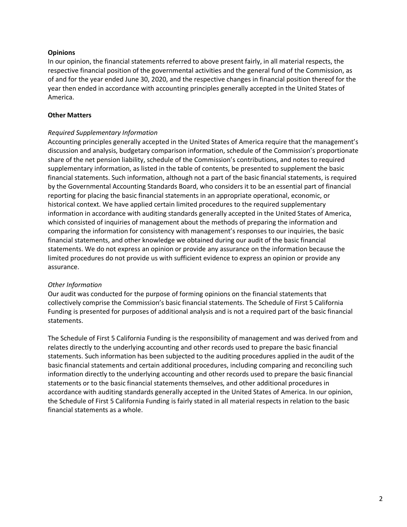# **Opinions**

In our opinion, the financial statements referred to above present fairly, in all material respects, the respective financial position of the governmental activities and the general fund of the Commission, as of and for the year ended June 30, 2020, and the respective changes in financial position thereof for the year then ended in accordance with accounting principles generally accepted in the United States of America.

# **Other Matters**

#### *Required Supplementary Information*

Accounting principles generally accepted in the United States of America require that the management's discussion and analysis, budgetary comparison information, schedule of the Commission's proportionate share of the net pension liability, schedule of the Commission's contributions, and notes to required supplementary information, as listed in the table of contents, be presented to supplement the basic financial statements. Such information, although not a part of the basic financial statements, is required by the Governmental Accounting Standards Board, who considers it to be an essential part of financial reporting for placing the basic financial statements in an appropriate operational, economic, or historical context. We have applied certain limited procedures to the required supplementary information in accordance with auditing standards generally accepted in the United States of America, which consisted of inquiries of management about the methods of preparing the information and comparing the information for consistency with management's responses to our inquiries, the basic financial statements, and other knowledge we obtained during our audit of the basic financial statements. We do not express an opinion or provide any assurance on the information because the limited procedures do not provide us with sufficient evidence to express an opinion or provide any assurance.

# *Other Information*

Our audit was conducted for the purpose of forming opinions on the financial statements that collectively comprise the Commission's basic financial statements. The Schedule of First 5 California Funding is presented for purposes of additional analysis and is not a required part of the basic financial statements.

The Schedule of First 5 California Funding is the responsibility of management and was derived from and relates directly to the underlying accounting and other records used to prepare the basic financial statements. Such information has been subjected to the auditing procedures applied in the audit of the basic financial statements and certain additional procedures, including comparing and reconciling such information directly to the underlying accounting and other records used to prepare the basic financial statements or to the basic financial statements themselves, and other additional procedures in accordance with auditing standards generally accepted in the United States of America. In our opinion, the Schedule of First 5 California Funding is fairly stated in all material respects in relation to the basic financial statements as a whole.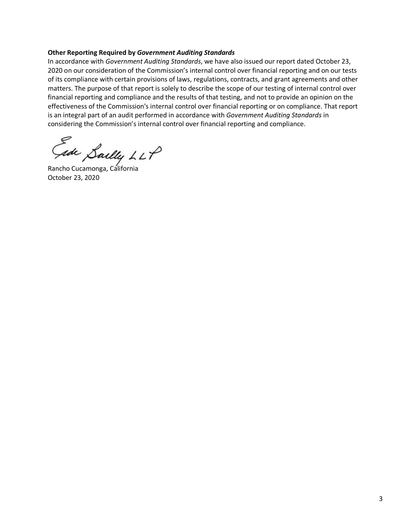#### **Other Reporting Required by** *Government Auditing Standards*

In accordance with *Government Auditing Standards*, we have also issued our report dated October 23, 2020 on our consideration of the Commission's internal control over financial reporting and on our tests of its compliance with certain provisions of laws, regulations, contracts, and grant agreements and other matters. The purpose of that report is solely to describe the scope of our testing of internal control over financial reporting and compliance and the results of that testing, and not to provide an opinion on the effectiveness of the Commission's internal control over financial reporting or on compliance. That report is an integral part of an audit performed in accordance with *Government Auditing Standards* in considering the Commission's internal control over financial reporting and compliance.

*Cade Sailly* LLP<br>Rancho Cucamonga, California

October 23, 2020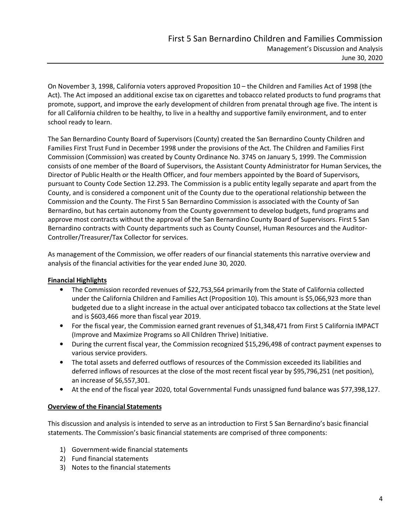On November 3, 1998, California voters approved Proposition 10 – the Children and Families Act of 1998 (the Act). The Act imposed an additional excise tax on cigarettes and tobacco related products to fund programs that promote, support, and improve the early development of children from prenatal through age five. The intent is for all California children to be healthy, to live in a healthy and supportive family environment, and to enter school ready to learn.

The San Bernardino County Board of Supervisors (County) created the San Bernardino County Children and Families First Trust Fund in December 1998 under the provisions of the Act. The Children and Families First Commission (Commission) was created by County Ordinance No. 3745 on January 5, 1999. The Commission consists of one member of the Board of Supervisors, the Assistant County Administrator for Human Services, the Director of Public Health or the Health Officer, and four members appointed by the Board of Supervisors, pursuant to County Code Section 12.293. The Commission is a public entity legally separate and apart from the County, and is considered a component unit of the County due to the operational relationship between the Commission and the County. The First 5 San Bernardino Commission is associated with the County of San Bernardino, but has certain autonomy from the County government to develop budgets, fund programs and approve most contracts without the approval of the San Bernardino County Board of Supervisors. First 5 San Bernardino contracts with County departments such as County Counsel, Human Resources and the Auditor-Controller/Treasurer/Tax Collector for services.

As management of the Commission, we offer readers of our financial statements this narrative overview and analysis of the financial activities for the year ended June 30, 2020.

# **Financial Highlights**

- The Commission recorded revenues of \$22,753,564 primarily from the State of California collected under the California Children and Families Act (Proposition 10). This amount is \$5,066,923 more than budgeted due to a slight increase in the actual over anticipated tobacco tax collections at the State level and is \$603,466 more than fiscal year 2019.
- For the fiscal year, the Commission earned grant revenues of \$1,348,471 from First 5 California IMPACT (Improve and Maximize Programs so All Children Thrive) Initiative.
- During the current fiscal year, the Commission recognized \$15,296,498 of contract payment expenses to various service providers.
- The total assets and deferred outflows of resources of the Commission exceeded its liabilities and deferred inflows of resources at the close of the most recent fiscal year by \$95,796,251 (net position), an increase of \$6,557,301.
- At the end of the fiscal year 2020, total Governmental Funds unassigned fund balance was \$77,398,127.

# **Overview of the Financial Statements**

This discussion and analysis is intended to serve as an introduction to First 5 San Bernardino's basic financial statements. The Commission's basic financial statements are comprised of three components:

- 1) Government-wide financial statements
- 2) Fund financial statements
- 3) Notes to the financial statements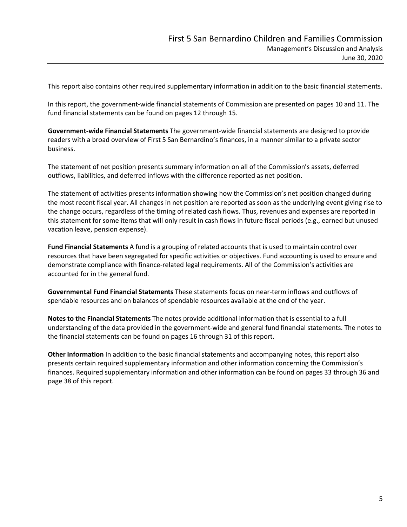This report also contains other required supplementary information in addition to the basic financial statements.

In this report, the government-wide financial statements of Commission are presented on pages 10 and 11. The fund financial statements can be found on pages 12 through 15.

**Government-wide Financial Statements** The government-wide financial statements are designed to provide readers with a broad overview of First 5 San Bernardino's finances, in a manner similar to a private sector business.

The statement of net position presents summary information on all of the Commission's assets, deferred outflows, liabilities, and deferred inflows with the difference reported as net position.

The statement of activities presents information showing how the Commission's net position changed during the most recent fiscal year. All changes in net position are reported as soon as the underlying event giving rise to the change occurs, regardless of the timing of related cash flows. Thus, revenues and expenses are reported in this statement for some items that will only result in cash flows in future fiscal periods (e.g., earned but unused vacation leave, pension expense).

**Fund Financial Statements** A fund is a grouping of related accounts that is used to maintain control over resources that have been segregated for specific activities or objectives. Fund accounting is used to ensure and demonstrate compliance with finance-related legal requirements. All of the Commission's activities are accounted for in the general fund.

**Governmental Fund Financial Statements** These statements focus on near-term inflows and outflows of spendable resources and on balances of spendable resources available at the end of the year.

**Notes to the Financial Statements** The notes provide additional information that is essential to a full understanding of the data provided in the government-wide and general fund financial statements. The notes to the financial statements can be found on pages 16 through 31 of this report.

**Other Information** In addition to the basic financial statements and accompanying notes, this report also presents certain required supplementary information and other information concerning the Commission's finances. Required supplementary information and other information can be found on pages 33 through 36 and page 38 of this report.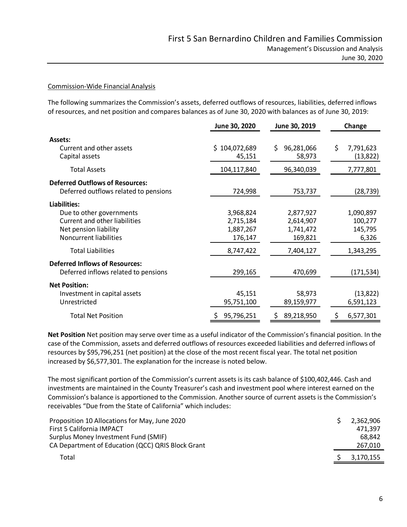#### Commission-Wide Financial Analysis

The following summarizes the Commission's assets, deferred outflows of resources, liabilities, deferred inflows of resources, and net position and compares balances as of June 30, 2020 with balances as of June 30, 2019:

|                                                                                                                                     | June 30, 2020                                  | June 30, 2019                                  | Change                                   |  |  |
|-------------------------------------------------------------------------------------------------------------------------------------|------------------------------------------------|------------------------------------------------|------------------------------------------|--|--|
| Assets:<br>Current and other assets<br>Capital assets                                                                               | \$104,072,689<br>45,151                        | \$<br>96,281,066<br>58,973                     | \$<br>7,791,623<br>(13, 822)             |  |  |
| <b>Total Assets</b>                                                                                                                 | 104,117,840                                    | 96,340,039                                     | 7,777,801                                |  |  |
| <b>Deferred Outflows of Resources:</b><br>Deferred outflows related to pensions                                                     | 724,998                                        | 753,737                                        | (28,739)                                 |  |  |
| Liabilities:<br>Due to other governments<br>Current and other liabilities<br>Net pension liability<br><b>Noncurrent liabilities</b> | 3,968,824<br>2,715,184<br>1,887,267<br>176,147 | 2,877,927<br>2,614,907<br>1,741,472<br>169,821 | 1,090,897<br>100,277<br>145,795<br>6,326 |  |  |
| <b>Total Liabilities</b>                                                                                                            | 8,747,422                                      | 7,404,127                                      | 1,343,295                                |  |  |
| <b>Deferred Inflows of Resources:</b><br>Deferred inflows related to pensions                                                       | 299,165                                        | 470,699                                        | (171, 534)                               |  |  |
| <b>Net Position:</b><br>Investment in capital assets<br>Unrestricted                                                                | 45,151<br>95,751,100                           | 58,973<br>89,159,977                           | (13, 822)<br>6,591,123                   |  |  |
| <b>Total Net Position</b>                                                                                                           | 95,796,251                                     | 89,218,950                                     | 6,577,301<br>Ş                           |  |  |

**Net Position** Net position may serve over time as a useful indicator of the Commission's financial position. In the case of the Commission, assets and deferred outflows of resources exceeded liabilities and deferred inflows of resources by \$95,796,251 (net position) at the close of the most recent fiscal year. The total net position increased by \$6,577,301. The explanation for the increase is noted below.

The most significant portion of the Commission's current assets is its cash balance of \$100,402,446. Cash and investments are maintained in the County Treasurer's cash and investment pool where interest earned on the Commission's balance is apportioned to the Commission. Another source of current assets is the Commission's receivables "Due from the State of California" which includes:

| Proposition 10 Allocations for May, June 2020     | 2.362.906 |
|---------------------------------------------------|-----------|
| First 5 California IMPACT                         | 471.397   |
| Surplus Money Investment Fund (SMIF)              | 68.842    |
| CA Department of Education (QCC) QRIS Block Grant | 267.010   |
| Total                                             | 3.170.155 |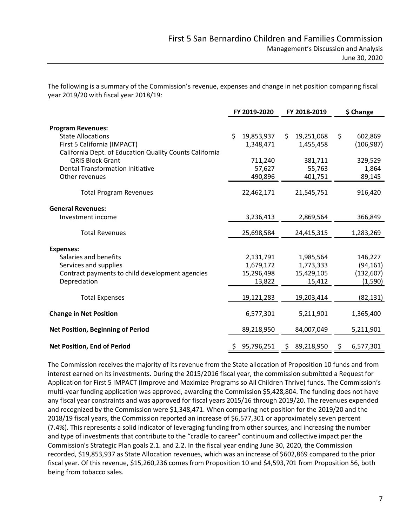The following is a summary of the Commission's revenue, expenses and change in net position comparing fiscal year 2019/20 with fiscal year 2018/19:

|                                                         | FY 2019-2020     | \$ Change         |                 |  |
|---------------------------------------------------------|------------------|-------------------|-----------------|--|
| <b>Program Revenues:</b>                                |                  |                   |                 |  |
| <b>State Allocations</b>                                | \$<br>19,853,937 | 19,251,068<br>\$. | \$<br>602,869   |  |
| First 5 California (IMPACT)                             | 1,348,471        | 1,455,458         | (106, 987)      |  |
| California Dept. of Education Quality Counts California |                  |                   |                 |  |
| <b>QRIS Block Grant</b>                                 | 711,240          | 381,711           | 329,529         |  |
| <b>Dental Transformation Initiative</b>                 | 57,627           | 55,763            | 1,864           |  |
| Other revenues                                          | 490,896          | 401,751           | 89,145          |  |
|                                                         |                  |                   |                 |  |
| <b>Total Program Revenues</b>                           | 22,462,171       | 21,545,751        | 916,420         |  |
|                                                         |                  |                   |                 |  |
| <b>General Revenues:</b>                                |                  |                   |                 |  |
| Investment income                                       | 3,236,413        | 2,869,564         | 366,849         |  |
|                                                         |                  |                   |                 |  |
| <b>Total Revenues</b>                                   | 25,698,584       | 24,415,315        | 1,283,269       |  |
|                                                         |                  |                   |                 |  |
| <b>Expenses:</b>                                        |                  |                   |                 |  |
| Salaries and benefits                                   | 2,131,791        | 1,985,564         | 146,227         |  |
| Services and supplies                                   | 1,679,172        | 1,773,333         | (94, 161)       |  |
| Contract payments to child development agencies         | 15,296,498       | 15,429,105        | (132, 607)      |  |
| Depreciation                                            | 13,822           | 15,412            | (1, 590)        |  |
| <b>Total Expenses</b>                                   | 19,121,283       | 19,203,414        | (82, 131)       |  |
|                                                         |                  |                   |                 |  |
| <b>Change in Net Position</b>                           | 6,577,301        | 5,211,901         | 1,365,400       |  |
| <b>Net Position, Beginning of Period</b>                | 89,218,950       | 84,007,049        | 5,211,901       |  |
|                                                         |                  |                   |                 |  |
| <b>Net Position, End of Period</b>                      | 95,796,251       | 89,218,950<br>\$. | 6,577,301<br>\$ |  |

The Commission receives the majority of its revenue from the State allocation of Proposition 10 funds and from interest earned on its investments. During the 2015/2016 fiscal year, the commission submitted a Request for Application for First 5 IMPACT (Improve and Maximize Programs so All Children Thrive) funds. The Commission's multi-year funding application was approved, awarding the Commission \$5,428,804. The funding does not have any fiscal year constraints and was approved for fiscal years 2015/16 through 2019/20. The revenues expended and recognized by the Commission were \$1,348,471. When comparing net position for the 2019/20 and the 2018/19 fiscal years, the Commission reported an increase of \$6,577,301 or approximately seven percent (7.4%). This represents a solid indicator of leveraging funding from other sources, and increasing the number and type of investments that contribute to the "cradle to career" continuum and collective impact per the Commission's Strategic Plan goals 2.1. and 2.2. In the fiscal year ending June 30, 2020, the Commission recorded, \$19,853,937 as State Allocation revenues, which was an increase of \$602,869 compared to the prior fiscal year. Of this revenue, \$15,260,236 comes from Proposition 10 and \$4,593,701 from Proposition 56, both being from tobacco sales.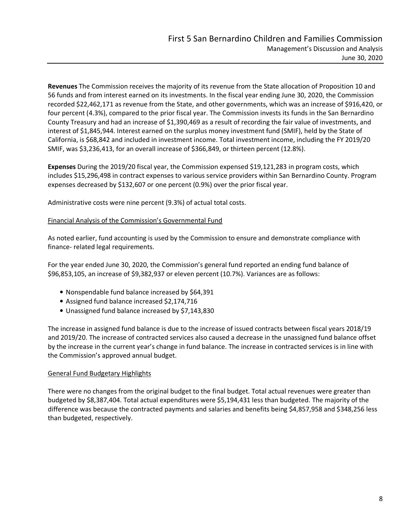**Revenues** The Commission receives the majority of its revenue from the State allocation of Proposition 10 and 56 funds and from interest earned on its investments. In the fiscal year ending June 30, 2020, the Commission recorded \$22,462,171 as revenue from the State, and other governments, which was an increase of \$916,420, or four percent (4.3%), compared to the prior fiscal year. The Commission invests its funds in the San Bernardino County Treasury and had an increase of \$1,390,469 as a result of recording the fair value of investments, and interest of \$1,845,944. Interest earned on the surplus money investment fund (SMIF), held by the State of California, is \$68,842 and included in investment income. Total investment income, including the FY 2019/20 SMIF, was \$3,236,413, for an overall increase of \$366,849, or thirteen percent (12.8%).

**Expenses** During the 2019/20 fiscal year, the Commission expensed \$19,121,283 in program costs, which includes \$15,296,498 in contract expenses to various service providers within San Bernardino County. Program expenses decreased by \$132,607 or one percent (0.9%) over the prior fiscal year.

Administrative costs were nine percent (9.3%) of actual total costs.

# Financial Analysis of the Commission's Governmental Fund

As noted earlier, fund accounting is used by the Commission to ensure and demonstrate compliance with finance- related legal requirements.

For the year ended June 30, 2020, the Commission's general fund reported an ending fund balance of \$96,853,105, an increase of \$9,382,937 or eleven percent (10.7%). Variances are as follows:

- Nonspendable fund balance increased by \$64,391
- Assigned fund balance increased \$2,174,716
- Unassigned fund balance increased by \$7,143,830

The increase in assigned fund balance is due to the increase of issued contracts between fiscal years 2018/19 and 2019/20. The increase of contracted services also caused a decrease in the unassigned fund balance offset by the increase in the current year's change in fund balance. The increase in contracted services is in line with the Commission's approved annual budget.

# General Fund Budgetary Highlights

There were no changes from the original budget to the final budget. Total actual revenues were greater than budgeted by \$8,387,404. Total actual expenditures were \$5,194,431 less than budgeted. The majority of the difference was because the contracted payments and salaries and benefits being \$4,857,958 and \$348,256 less than budgeted, respectively.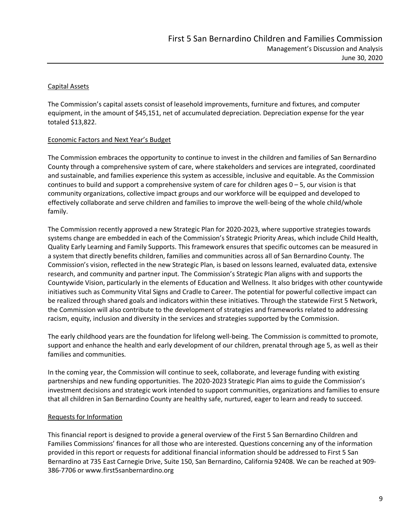# Capital Assets

The Commission's capital assets consist of leasehold improvements, furniture and fixtures, and computer equipment, in the amount of \$45,151, net of accumulated depreciation. Depreciation expense for the year totaled \$13,822.

# Economic Factors and Next Year's Budget

The Commission embraces the opportunity to continue to invest in the children and families of San Bernardino County through a comprehensive system of care, where stakeholders and services are integrated, coordinated and sustainable, and families experience this system as accessible, inclusive and equitable. As the Commission continues to build and support a comprehensive system of care for children ages 0 – 5, our vision is that community organizations, collective impact groups and our workforce will be equipped and developed to effectively collaborate and serve children and families to improve the well-being of the whole child/whole family.

The Commission recently approved a new Strategic Plan for 2020-2023, where supportive strategies towards systems change are embedded in each of the Commission's Strategic Priority Areas, which include Child Health, Quality Early Learning and Family Supports. This framework ensures that specific outcomes can be measured in a system that directly benefits children, families and communities across all of San Bernardino County. The Commission's vision, reflected in the new Strategic Plan, is based on lessons learned, evaluated data, extensive research, and community and partner input. The Commission's Strategic Plan aligns with and supports the Countywide Vision, particularly in the elements of Education and Wellness. It also bridges with other countywide initiatives such as Community Vital Signs and Cradle to Career. The potential for powerful collective impact can be realized through shared goals and indicators within these initiatives. Through the statewide First 5 Network, the Commission will also contribute to the development of strategies and frameworks related to addressing racism, equity, inclusion and diversity in the services and strategies supported by the Commission.

The early childhood years are the foundation for lifelong well-being. The Commission is committed to promote, support and enhance the health and early development of our children, prenatal through age 5, as well as their families and communities.

In the coming year, the Commission will continue to seek, collaborate, and leverage funding with existing partnerships and new funding opportunities. The 2020-2023 Strategic Plan aims to guide the Commission's investment decisions and strategic work intended to support communities, organizations and families to ensure that all children in San Bernardino County are healthy safe, nurtured, eager to learn and ready to succeed.

# Requests for Information

This financial report is designed to provide a general overview of the First 5 San Bernardino Children and Families Commissions' finances for all those who are interested. Questions concerning any of the information provided in this report or requests for additional financial information should be addressed to First 5 San Bernardino at 735 East Carnegie Drive, Suite 150, San Bernardino, California 92408. We can be reached at 909- 386-7706 or www.first5sanbernardino.org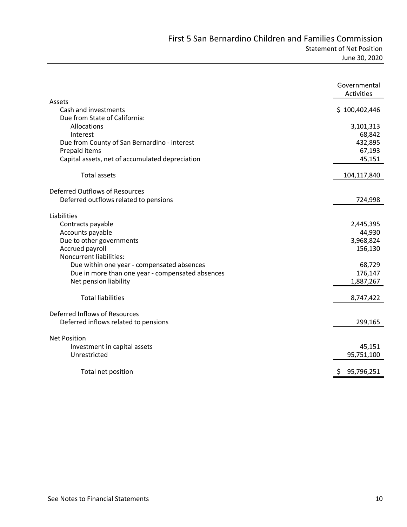|                                                  | Governmental<br><b>Activities</b> |
|--------------------------------------------------|-----------------------------------|
| Assets                                           |                                   |
| Cash and investments                             | \$100,402,446                     |
| Due from State of California:                    |                                   |
| Allocations<br>Interest                          | 3,101,313<br>68,842               |
| Due from County of San Bernardino - interest     | 432,895                           |
| Prepaid items                                    | 67,193                            |
| Capital assets, net of accumulated depreciation  | 45,151                            |
|                                                  |                                   |
| <b>Total assets</b>                              | 104,117,840                       |
|                                                  |                                   |
| Deferred Outflows of Resources                   |                                   |
| Deferred outflows related to pensions            | 724,998                           |
| Liabilities                                      |                                   |
| Contracts payable                                | 2,445,395                         |
| Accounts payable                                 | 44,930                            |
| Due to other governments                         | 3,968,824                         |
| Accrued payroll                                  | 156,130                           |
| Noncurrent liabilities:                          |                                   |
| Due within one year - compensated absences       | 68,729                            |
| Due in more than one year - compensated absences | 176,147                           |
| Net pension liability                            | 1,887,267                         |
|                                                  |                                   |
| <b>Total liabilities</b>                         | 8,747,422                         |
| Deferred Inflows of Resources                    |                                   |
| Deferred inflows related to pensions             | 299,165                           |
|                                                  |                                   |
| <b>Net Position</b>                              |                                   |
| Investment in capital assets                     | 45,151                            |
| Unrestricted                                     | 95,751,100                        |
|                                                  |                                   |
| Total net position                               | 95,796,251                        |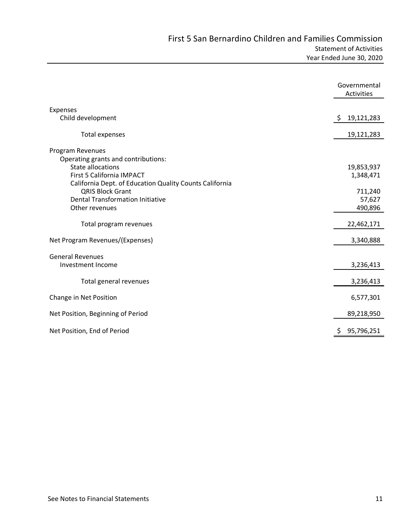|                                                                                                                                                 |    | Governmental<br>Activities   |
|-------------------------------------------------------------------------------------------------------------------------------------------------|----|------------------------------|
| Expenses<br>Child development                                                                                                                   | Ş. | 19,121,283                   |
| Total expenses                                                                                                                                  |    | 19,121,283                   |
| Program Revenues<br>Operating grants and contributions:<br><b>State allocations</b><br><b>First 5 California IMPACT</b>                         |    | 19,853,937<br>1,348,471      |
| California Dept. of Education Quality Counts California<br><b>QRIS Block Grant</b><br><b>Dental Transformation Initiative</b><br>Other revenues |    | 711,240<br>57,627<br>490,896 |
| Total program revenues                                                                                                                          |    | 22,462,171                   |
| Net Program Revenues/(Expenses)                                                                                                                 |    | 3,340,888                    |
| <b>General Revenues</b><br>Investment Income                                                                                                    |    | 3,236,413                    |
| Total general revenues                                                                                                                          |    | 3,236,413                    |
| Change in Net Position                                                                                                                          |    | 6,577,301                    |
| Net Position, Beginning of Period                                                                                                               |    | 89,218,950                   |
| Net Position, End of Period                                                                                                                     |    | 95,796,251                   |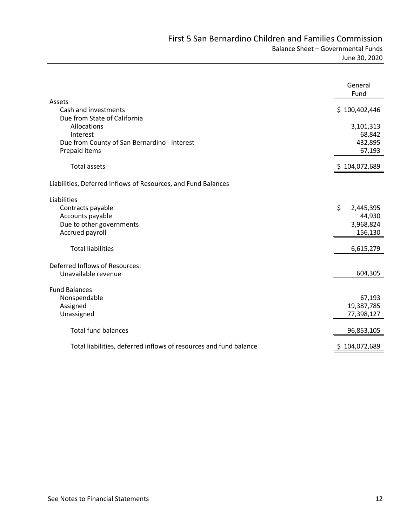|                                                                   | General<br>Fund          |
|-------------------------------------------------------------------|--------------------------|
| Assets                                                            |                          |
| Cash and investments<br>Due from State of California              | \$100,402,446            |
| Allocations                                                       | 3,101,313                |
| Interest                                                          | 68,842                   |
| Due from County of San Bernardino - interest                      | 432,895                  |
| Prepaid items                                                     | 67,193                   |
| <b>Total assets</b>                                               | \$104,072,689            |
| Liabilities, Deferred Inflows of Resources, and Fund Balances     |                          |
| Liabilities                                                       |                          |
| Contracts payable                                                 | \$<br>2,445,395          |
| Accounts payable                                                  | 44,930                   |
| Due to other governments                                          | 3,968,824                |
| Accrued payroll                                                   | 156,130                  |
| <b>Total liabilities</b>                                          | 6,615,279                |
| Deferred Inflows of Resources:                                    |                          |
| Unavailable revenue                                               | 604,305                  |
|                                                                   |                          |
| <b>Fund Balances</b>                                              |                          |
| Nonspendable                                                      | 67,193                   |
| Assigned<br>Unassigned                                            | 19,387,785<br>77,398,127 |
|                                                                   |                          |
| <b>Total fund balances</b>                                        | 96,853,105               |
| Total liabilities, deferred inflows of resources and fund balance | \$104,072,689            |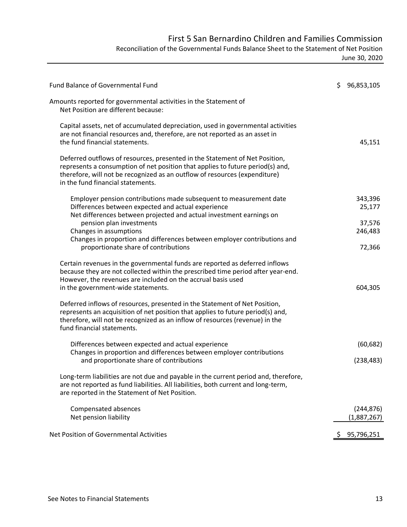# First 5 San Bernardino Children and Families Commission

Reconciliation of the Governmental Funds Balance Sheet to the Statement of Net Position

June 30, 2020

| <b>Fund Balance of Governmental Fund</b>                                                                                                                                                                                                                                         | Ś. | 96,853,105                |
|----------------------------------------------------------------------------------------------------------------------------------------------------------------------------------------------------------------------------------------------------------------------------------|----|---------------------------|
| Amounts reported for governmental activities in the Statement of<br>Net Position are different because:                                                                                                                                                                          |    |                           |
| Capital assets, net of accumulated depreciation, used in governmental activities<br>are not financial resources and, therefore, are not reported as an asset in<br>the fund financial statements.                                                                                |    | 45,151                    |
| Deferred outflows of resources, presented in the Statement of Net Position,<br>represents a consumption of net position that applies to future period(s) and,<br>therefore, will not be recognized as an outflow of resources (expenditure)<br>in the fund financial statements. |    |                           |
| Employer pension contributions made subsequent to measurement date<br>Differences between expected and actual experience<br>Net differences between projected and actual investment earnings on                                                                                  |    | 343,396<br>25,177         |
| pension plan investments<br>Changes in assumptions<br>Changes in proportion and differences between employer contributions and                                                                                                                                                   |    | 37,576<br>246,483         |
| proportionate share of contributions                                                                                                                                                                                                                                             |    | 72,366                    |
| Certain revenues in the governmental funds are reported as deferred inflows<br>because they are not collected within the prescribed time period after year-end.<br>However, the revenues are included on the accrual basis used<br>in the government-wide statements.            |    | 604,305                   |
| Deferred inflows of resources, presented in the Statement of Net Position,<br>represents an acquisition of net position that applies to future period(s) and,<br>therefore, will not be recognized as an inflow of resources (revenue) in the<br>fund financial statements.      |    |                           |
| Differences between expected and actual experience<br>Changes in proportion and differences between employer contributions                                                                                                                                                       |    | (60, 682)                 |
| and proportionate share of contributions                                                                                                                                                                                                                                         |    | (238, 483)                |
| Long-term liabilities are not due and payable in the current period and, therefore,<br>are not reported as fund liabilities. All liabilities, both current and long-term,<br>are reported in the Statement of Net Position.                                                      |    |                           |
| Compensated absences<br>Net pension liability                                                                                                                                                                                                                                    |    | (244, 876)<br>(1,887,267) |
| Net Position of Governmental Activities                                                                                                                                                                                                                                          | \$ | 95,796,251                |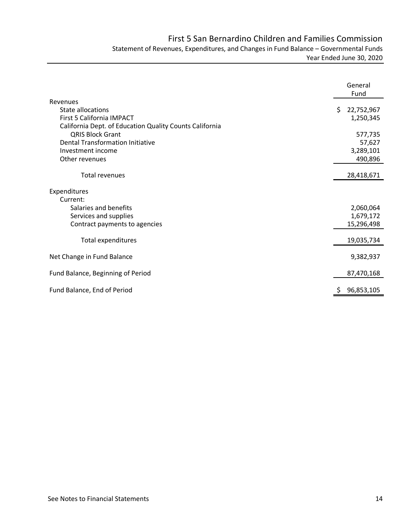|                                                                                                                                     |    | General<br>Fund                           |
|-------------------------------------------------------------------------------------------------------------------------------------|----|-------------------------------------------|
| Revenues<br><b>State allocations</b><br><b>First 5 California IMPACT</b><br>California Dept. of Education Quality Counts California | \$ | 22,752,967<br>1,250,345                   |
| <b>QRIS Block Grant</b><br><b>Dental Transformation Initiative</b><br>Investment income<br>Other revenues                           |    | 577,735<br>57,627<br>3,289,101<br>490,896 |
| <b>Total revenues</b>                                                                                                               |    | 28,418,671                                |
| Expenditures<br>Current:                                                                                                            |    |                                           |
| Salaries and benefits<br>Services and supplies<br>Contract payments to agencies                                                     |    | 2,060,064<br>1,679,172<br>15,296,498      |
| Total expenditures                                                                                                                  |    | 19,035,734                                |
| Net Change in Fund Balance                                                                                                          |    | 9,382,937                                 |
| Fund Balance, Beginning of Period                                                                                                   |    | 87,470,168                                |
| Fund Balance, End of Period                                                                                                         | Ş  | 96,853,105                                |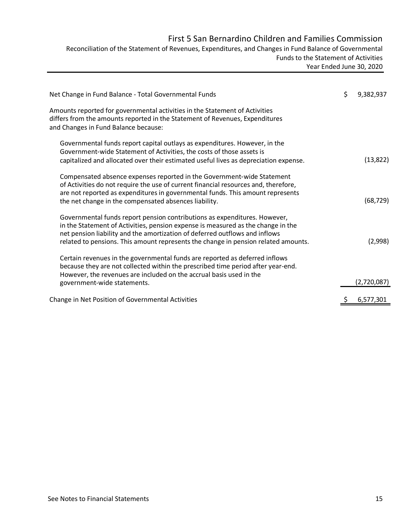# First 5 San Bernardino Children and Families Commission

Reconciliation of the Statement of Revenues, Expenditures, and Changes in Fund Balance of Governmental Funds to the Statement of Activities

Year Ended June 30, 2020

| Net Change in Fund Balance - Total Governmental Funds                                                                                                                                                                                                                                                                              | 9,382,937   |
|------------------------------------------------------------------------------------------------------------------------------------------------------------------------------------------------------------------------------------------------------------------------------------------------------------------------------------|-------------|
| Amounts reported for governmental activities in the Statement of Activities<br>differs from the amounts reported in the Statement of Revenues, Expenditures<br>and Changes in Fund Balance because:                                                                                                                                |             |
| Governmental funds report capital outlays as expenditures. However, in the<br>Government-wide Statement of Activities, the costs of those assets is<br>capitalized and allocated over their estimated useful lives as depreciation expense.                                                                                        | (13, 822)   |
| Compensated absence expenses reported in the Government-wide Statement<br>of Activities do not require the use of current financial resources and, therefore,<br>are not reported as expenditures in governmental funds. This amount represents<br>the net change in the compensated absences liability.                           | (68, 729)   |
| Governmental funds report pension contributions as expenditures. However,<br>in the Statement of Activities, pension expense is measured as the change in the<br>net pension liability and the amortization of deferred outflows and inflows<br>related to pensions. This amount represents the change in pension related amounts. | (2,998)     |
| Certain revenues in the governmental funds are reported as deferred inflows<br>because they are not collected within the prescribed time period after year-end.<br>However, the revenues are included on the accrual basis used in the<br>government-wide statements.                                                              | (2,720,087) |
| Change in Net Position of Governmental Activities                                                                                                                                                                                                                                                                                  | 6,577,301   |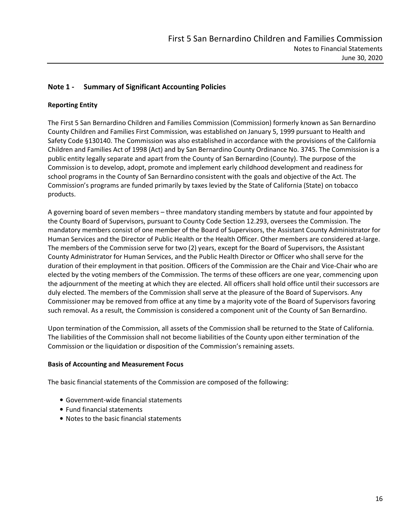# **Note 1 - Summary of Significant Accounting Policies**

# **Reporting Entity**

The First 5 San Bernardino Children and Families Commission (Commission) formerly known as San Bernardino County Children and Families First Commission, was established on January 5, 1999 pursuant to Health and Safety Code §130140. The Commission was also established in accordance with the provisions of the California Children and Families Act of 1998 (Act) and by San Bernardino County Ordinance No. 3745. The Commission is a public entity legally separate and apart from the County of San Bernardino (County). The purpose of the Commission is to develop, adopt, promote and implement early childhood development and readiness for school programs in the County of San Bernardino consistent with the goals and objective of the Act. The Commission's programs are funded primarily by taxes levied by the State of California (State) on tobacco products.

A governing board of seven members – three mandatory standing members by statute and four appointed by the County Board of Supervisors, pursuant to County Code Section 12.293, oversees the Commission. The mandatory members consist of one member of the Board of Supervisors, the Assistant County Administrator for Human Services and the Director of Public Health or the Health Officer. Other members are considered at-large. The members of the Commission serve for two (2) years, except for the Board of Supervisors, the Assistant County Administrator for Human Services, and the Public Health Director or Officer who shall serve for the duration of their employment in that position. Officers of the Commission are the Chair and Vice-Chair who are elected by the voting members of the Commission. The terms of these officers are one year, commencing upon the adjournment of the meeting at which they are elected. All officers shall hold office until their successors are duly elected. The members of the Commission shall serve at the pleasure of the Board of Supervisors. Any Commissioner may be removed from office at any time by a majority vote of the Board of Supervisors favoring such removal. As a result, the Commission is considered a component unit of the County of San Bernardino.

Upon termination of the Commission, all assets of the Commission shall be returned to the State of California. The liabilities of the Commission shall not become liabilities of the County upon either termination of the Commission or the liquidation or disposition of the Commission's remaining assets.

# **Basis of Accounting and Measurement Focus**

The basic financial statements of the Commission are composed of the following:

- Government-wide financial statements
- Fund financial statements
- Notes to the basic financial statements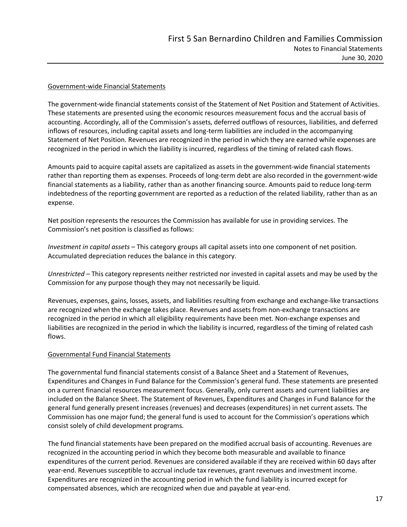# Government-wide Financial Statements

The government-wide financial statements consist of the Statement of Net Position and Statement of Activities. These statements are presented using the economic resources measurement focus and the accrual basis of accounting. Accordingly, all of the Commission's assets, deferred outflows of resources, liabilities, and deferred inflows of resources, including capital assets and long-term liabilities are included in the accompanying Statement of Net Position. Revenues are recognized in the period in which they are earned while expenses are recognized in the period in which the liability is incurred, regardless of the timing of related cash flows.

Amounts paid to acquire capital assets are capitalized as assets in the government-wide financial statements rather than reporting them as expenses. Proceeds of long-term debt are also recorded in the government-wide financial statements as a liability, rather than as another financing source. Amounts paid to reduce long-term indebtedness of the reporting government are reported as a reduction of the related liability, rather than as an expense.

Net position represents the resources the Commission has available for use in providing services. The Commission's net position is classified as follows:

*Investment in capital assets* – This category groups all capital assets into one component of net position. Accumulated depreciation reduces the balance in this category.

*Unrestricted* – This category represents neither restricted nor invested in capital assets and may be used by the Commission for any purpose though they may not necessarily be liquid.

Revenues, expenses, gains, losses, assets, and liabilities resulting from exchange and exchange-like transactions are recognized when the exchange takes place. Revenues and assets from non-exchange transactions are recognized in the period in which all eligibility requirements have been met. Non-exchange expenses and liabilities are recognized in the period in which the liability is incurred, regardless of the timing of related cash flows.

#### Governmental Fund Financial Statements

The governmental fund financial statements consist of a Balance Sheet and a Statement of Revenues, Expenditures and Changes in Fund Balance for the Commission's general fund. These statements are presented on a current financial resources measurement focus. Generally, only current assets and current liabilities are included on the Balance Sheet. The Statement of Revenues, Expenditures and Changes in Fund Balance for the general fund generally present increases (revenues) and decreases (expenditures) in net current assets. The Commission has one major fund; the general fund is used to account for the Commission's operations which consist solely of child development programs.

The fund financial statements have been prepared on the modified accrual basis of accounting. Revenues are recognized in the accounting period in which they become both measurable and available to finance expenditures of the current period. Revenues are considered available if they are received within 60 days after year-end. Revenues susceptible to accrual include tax revenues, grant revenues and investment income. Expenditures are recognized in the accounting period in which the fund liability is incurred except for compensated absences, which are recognized when due and payable at year-end.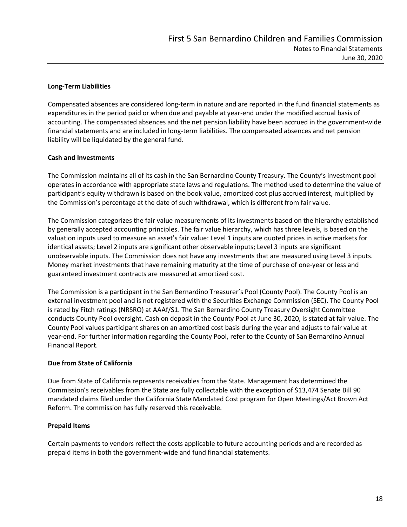# **Long-Term Liabilities**

Compensated absences are considered long-term in nature and are reported in the fund financial statements as expenditures in the period paid or when due and payable at year-end under the modified accrual basis of accounting. The compensated absences and the net pension liability have been accrued in the government-wide financial statements and are included in long-term liabilities. The compensated absences and net pension liability will be liquidated by the general fund.

# **Cash and Investments**

The Commission maintains all of its cash in the San Bernardino County Treasury. The County's investment pool operates in accordance with appropriate state laws and regulations. The method used to determine the value of participant's equity withdrawn is based on the book value, amortized cost plus accrued interest, multiplied by the Commission's percentage at the date of such withdrawal, which is different from fair value.

The Commission categorizes the fair value measurements of its investments based on the hierarchy established by generally accepted accounting principles. The fair value hierarchy, which has three levels, is based on the valuation inputs used to measure an asset's fair value: Level 1 inputs are quoted prices in active markets for identical assets; Level 2 inputs are significant other observable inputs; Level 3 inputs are significant unobservable inputs. The Commission does not have any investments that are measured using Level 3 inputs. Money market investments that have remaining maturity at the time of purchase of one-year or less and guaranteed investment contracts are measured at amortized cost.

The Commission is a participant in the San Bernardino Treasurer's Pool (County Pool). The County Pool is an external investment pool and is not registered with the Securities Exchange Commission (SEC). The County Pool is rated by Fitch ratings (NRSRO) at AAAf/S1. The San Bernardino County Treasury Oversight Committee conducts County Pool oversight. Cash on deposit in the County Pool at June 30, 2020, is stated at fair value. The County Pool values participant shares on an amortized cost basis during the year and adjusts to fair value at year-end. For further information regarding the County Pool, refer to the County of San Bernardino Annual Financial Report.

# **Due from State of California**

Due from State of California represents receivables from the State. Management has determined the Commission's receivables from the State are fully collectable with the exception of \$13,474 Senate Bill 90 mandated claims filed under the California State Mandated Cost program for Open Meetings/Act Brown Act Reform. The commission has fully reserved this receivable.

# **Prepaid Items**

Certain payments to vendors reflect the costs applicable to future accounting periods and are recorded as prepaid items in both the government-wide and fund financial statements.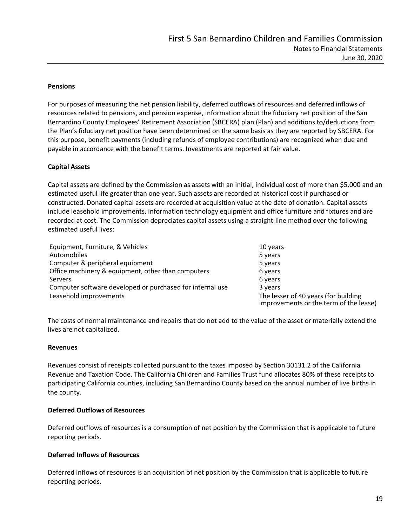#### **Pensions**

For purposes of measuring the net pension liability, deferred outflows of resources and deferred inflows of resources related to pensions, and pension expense, information about the fiduciary net position of the San Bernardino County Employees' Retirement Association (SBCERA) plan (Plan) and additions to/deductions from the Plan's fiduciary net position have been determined on the same basis as they are reported by SBCERA. For this purpose, benefit payments (including refunds of employee contributions) are recognized when due and payable in accordance with the benefit terms. Investments are reported at fair value.

#### **Capital Assets**

Capital assets are defined by the Commission as assets with an initial, individual cost of more than \$5,000 and an estimated useful life greater than one year. Such assets are recorded at historical cost if purchased or constructed. Donated capital assets are recorded at acquisition value at the date of donation. Capital assets include leasehold improvements, information technology equipment and office furniture and fixtures and are recorded at cost. The Commission depreciates capital assets using a straight-line method over the following estimated useful lives:

| Equipment, Furniture, & Vehicles                          | 10 years |
|-----------------------------------------------------------|----------|
| Automobiles                                               | 5 years  |
| Computer & peripheral equipment                           | 5 years  |
| Office machinery & equipment, other than computers        | 6 years  |
| Servers                                                   | 6 years  |
| Computer software developed or purchased for internal use | 3 years  |
| Leasehold improvements                                    | The less |

sser of 40 years (for building improvements or the term of the lease)

The costs of normal maintenance and repairs that do not add to the value of the asset or materially extend the lives are not capitalized.

#### **Revenues**

Revenues consist of receipts collected pursuant to the taxes imposed by Section 30131.2 of the California Revenue and Taxation Code. The California Children and Families Trust fund allocates 80% of these receipts to participating California counties, including San Bernardino County based on the annual number of live births in the county.

#### **Deferred Outflows of Resources**

Deferred outflows of resources is a consumption of net position by the Commission that is applicable to future reporting periods.

#### **Deferred Inflows of Resources**

Deferred inflows of resources is an acquisition of net position by the Commission that is applicable to future reporting periods.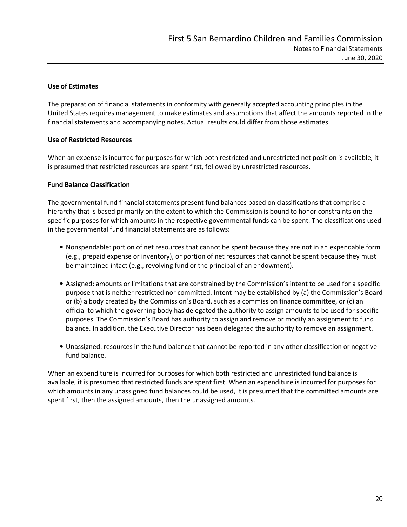# **Use of Estimates**

The preparation of financial statements in conformity with generally accepted accounting principles in the United States requires management to make estimates and assumptions that affect the amounts reported in the financial statements and accompanying notes. Actual results could differ from those estimates.

# **Use of Restricted Resources**

When an expense is incurred for purposes for which both restricted and unrestricted net position is available, it is presumed that restricted resources are spent first, followed by unrestricted resources.

# **Fund Balance Classification**

The governmental fund financial statements present fund balances based on classifications that comprise a hierarchy that is based primarily on the extent to which the Commission is bound to honor constraints on the specific purposes for which amounts in the respective governmental funds can be spent. The classifications used in the governmental fund financial statements are as follows:

- Nonspendable: portion of net resources that cannot be spent because they are not in an expendable form (e.g., prepaid expense or inventory), or portion of net resources that cannot be spent because they must be maintained intact (e.g., revolving fund or the principal of an endowment).
- Assigned: amounts or limitations that are constrained by the Commission's intent to be used for a specific purpose that is neither restricted nor committed. Intent may be established by (a) the Commission's Board or (b) a body created by the Commission's Board, such as a commission finance committee, or (c) an official to which the governing body has delegated the authority to assign amounts to be used for specific purposes. The Commission's Board has authority to assign and remove or modify an assignment to fund balance. In addition, the Executive Director has been delegated the authority to remove an assignment.
- Unassigned: resources in the fund balance that cannot be reported in any other classification or negative fund balance.

When an expenditure is incurred for purposes for which both restricted and unrestricted fund balance is available, it is presumed that restricted funds are spent first. When an expenditure is incurred for purposes for which amounts in any unassigned fund balances could be used, it is presumed that the committed amounts are spent first, then the assigned amounts, then the unassigned amounts.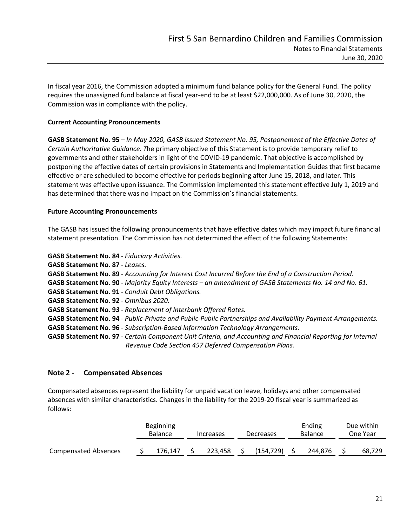In fiscal year 2016, the Commission adopted a minimum fund balance policy for the General Fund. The policy requires the unassigned fund balance at fiscal year-end to be at least \$22,000,000. As of June 30, 2020, the Commission was in compliance with the policy.

# **Current Accounting Pronouncements**

**GASB Statement No. 95** *– In May 2020, GASB issued Statement No. 95, Postponement of the Effective Dates of Certain Authoritative Guidance. T*he primary objective of this Statement is to provide temporary relief to governments and other stakeholders in light of the COVID-19 pandemic. That objective is accomplished by postponing the effective dates of certain provisions in Statements and Implementation Guides that first became effective or are scheduled to become effective for periods beginning after June 15, 2018, and later. This statement was effective upon issuance. The Commission implemented this statement effective July 1, 2019 and has determined that there was no impact on the Commission's financial statements.

# **Future Accounting Pronouncements**

The GASB has issued the following pronouncements that have effective dates which may impact future financial statement presentation. The Commission has not determined the effect of the following Statements:

**GASB Statement No. 84** *- Fiduciary Activities.* 

**GASB Statement No. 87** *- Leases.* 

**GASB Statement No. 89** *- Accounting for Interest Cost Incurred Before the End of a Construction Period.*  **GASB Statement No. 90** *- Majority Equity Interests – an amendment of GASB Statements No. 14 and No. 61.*  **GASB Statement No. 91** *- Conduit Debt Obligations.*  **GASB Statement No. 92** *- Omnibus 2020.*  **GASB Statement No. 9***3 - Replacement of Interbank Offered Rates.*  **GASB Statement No. 94** *- Public-Private and Public-Public Partnerships and Availability Payment Arrangements.*  **GASB Statement No. 96** *- Subscription-Based Information Technology Arrangements.*  **GASB Statement No. 97** *- Certain Component Unit Criteria, and Accounting and Financial Reporting for Internal Revenue Code Section 457 Deferred Compensation Plans.* 

# **Note 2 - Compensated Absences**

Compensated absences represent the liability for unpaid vacation leave, holidays and other compensated absences with similar characteristics. Changes in the liability for the 2019-20 fiscal year is summarized as follows:

|                             | Beginning<br><b>Balance</b> | <b>Increases</b> |         | <b>Decreases</b> |           | Ending<br><b>Balance</b> |         | Due within<br>One Year |        |
|-----------------------------|-----------------------------|------------------|---------|------------------|-----------|--------------------------|---------|------------------------|--------|
| <b>Compensated Absences</b> | 176.147                     |                  | 223.458 |                  | (154.729) |                          | 244.876 |                        | 68,729 |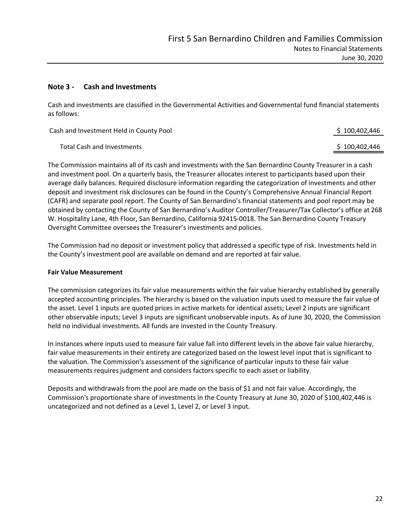# **Note 3 - Cash and Investments**

Cash and investments are classified in the Governmental Activities and Governmental fund financial statements as follows:

| Cash and Investment Held in County Pool | \$100,402,446 |
|-----------------------------------------|---------------|
| Total Cash and Investments              | \$100,402,446 |

The Commission maintains all of its cash and investments with the San Bernardino County Treasurer in a cash and investment pool. On a quarterly basis, the Treasurer allocates interest to participants based upon their average daily balances. Required disclosure information regarding the categorization of investments and other deposit and investment risk disclosures can be found in the County's Comprehensive Annual Financial Report (CAFR) and separate pool report. The County of San Bernardino's financial statements and pool report may be obtained by contacting the County of San Bernardino's Auditor Controller/Treasurer/Tax Collector's office at 268 W. Hospitality Lane, 4th Floor, San Bernardino, California 92415-0018. The San Bernardino County Treasury Oversight Committee oversees the Treasurer's investments and policies.

The Commission had no deposit or investment policy that addressed a specific type of risk. Investments held in the County's investment pool are available on demand and are reported at fair value.

# **Fair Value Measurement**

The commission categorizes its fair value measurements within the fair value hierarchy established by generally accepted accounting principles. The hierarchy is based on the valuation inputs used to measure the fair value of the asset. Level 1 inputs are quoted prices in active markets for identical assets; Level 2 inputs are significant other observable inputs; Level 3 inputs are significant unobservable inputs. As of June 30, 2020, the Commission held no individual investments. All funds are invested in the County Treasury.

In instances where inputs used to measure fair value fall into different levels in the above fair value hierarchy, fair value measurements in their entirety are categorized based on the lowest level input that is significant to the valuation. The Commission's assessment of the significance of particular inputs to these fair value measurements requires judgment and considers factors specific to each asset or liability.

Deposits and withdrawals from the pool are made on the basis of \$1 and not fair value. Accordingly, the Commission's proportionate share of investments in the County Treasury at June 30, 2020 of \$100,402,446 is uncategorized and not defined as a Level 1, Level 2, or Level 3 input.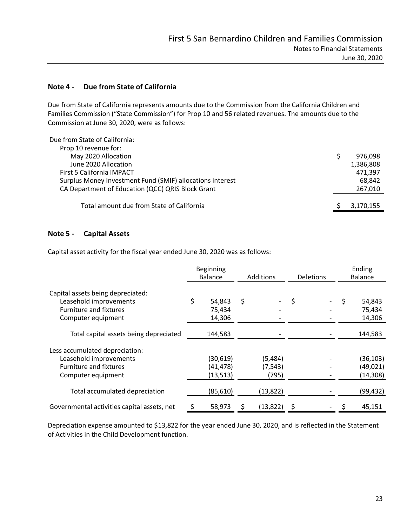# **Note 4 - Due from State of California**

Due from State of California represents amounts due to the Commission from the California Children and Families Commission ("State Commission") for Prop 10 and 56 related revenues. The amounts due to the Commission at June 30, 2020, were as follows:

| Due from State of California:                             |           |
|-----------------------------------------------------------|-----------|
| Prop 10 revenue for:                                      |           |
| May 2020 Allocation                                       | 976.098   |
| June 2020 Allocation                                      | 1,386,808 |
| First 5 California IMPACT                                 | 471.397   |
| Surplus Money Investment Fund (SMIF) allocations interest | 68.842    |
| CA Department of Education (QCC) QRIS Block Grant         | 267,010   |
| Total amount due from State of California                 | 3,170,155 |

# **Note 5 - Capital Assets**

Capital asset activity for the fiscal year ended June 30, 2020 was as follows:

|                                             | Beginning<br>Balance | Additions |    | <b>Deletions</b> | Ending<br><b>Balance</b> |
|---------------------------------------------|----------------------|-----------|----|------------------|--------------------------|
| Capital assets being depreciated:           |                      |           |    |                  |                          |
| Leasehold improvements                      | \$<br>54,843         | \$        | \$ |                  | \$<br>54,843             |
| <b>Furniture and fixtures</b>               | 75,434               |           |    |                  | 75,434                   |
| Computer equipment                          | 14,306               |           |    |                  | 14,306                   |
| Total capital assets being depreciated      | 144,583              |           |    |                  | 144,583                  |
| Less accumulated depreciation:              |                      |           |    |                  |                          |
| Leasehold improvements                      | (30, 619)            | (5,484)   |    |                  | (36, 103)                |
| <b>Furniture and fixtures</b>               | (41, 478)            | (7, 543)  |    |                  | (49,021)                 |
| Computer equipment                          | (13, 513)            | (795)     |    |                  | (14, 308)                |
| Total accumulated depreciation              | (85, 610)            | (13, 822) |    |                  | (99, 432)                |
| Governmental activities capital assets, net | \$<br>58,973         | (13, 822) | Ş  |                  | 45,151                   |

Depreciation expense amounted to \$13,822 for the year ended June 30, 2020, and is reflected in the Statement of Activities in the Child Development function.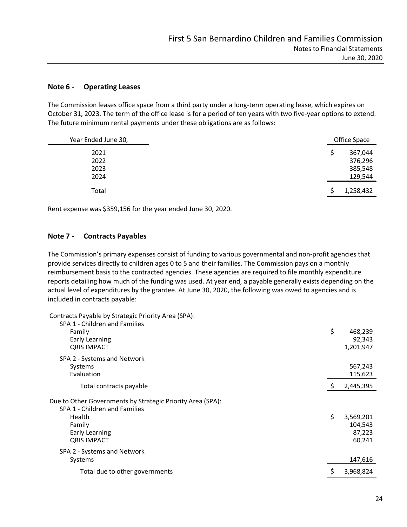# **Note 6 - Operating Leases**

The Commission leases office space from a third party under a long-term operating lease, which expires on October 31, 2023. The term of the office lease is for a period of ten years with two five-year options to extend. The future minimum rental payments under these obligations are as follows:

| Year Ended June 30, |   | Office Space |
|---------------------|---|--------------|
| 2021                | S | 367,044      |
| 2022                |   | 376,296      |
| 2023                |   | 385,548      |
| 2024                |   | 129,544      |
| Total               |   | 1,258,432    |
|                     |   |              |

Rent expense was \$359,156 for the year ended June 30, 2020.

# **Note 7 - Contracts Payables**

The Commission's primary expenses consist of funding to various governmental and non-profit agencies that provide services directly to children ages 0 to 5 and their families. The Commission pays on a monthly reimbursement basis to the contracted agencies. These agencies are required to file monthly expenditure reports detailing how much of the funding was used. At year end, a payable generally exists depending on the actual level of expenditures by the grantee. At June 30, 2020, the following was owed to agencies and is included in contracts payable:

Contracts Payable by Strategic Priority Area (SPA):

| SPA 1 - Children and Families<br>Family<br>Early Learning<br><b>QRIS IMPACT</b>                                                                         | \$<br>468,239<br>92,343<br>1,201,947           |
|---------------------------------------------------------------------------------------------------------------------------------------------------------|------------------------------------------------|
| SPA 2 - Systems and Network<br>Systems<br>Evaluation                                                                                                    | 567,243<br>115,623                             |
| Total contracts payable                                                                                                                                 | 2,445,395                                      |
| Due to Other Governments by Strategic Priority Area (SPA):<br>SPA 1 - Children and Families<br>Health<br>Family<br>Early Learning<br><b>QRIS IMPACT</b> | \$<br>3,569,201<br>104,543<br>87,223<br>60,241 |
| SPA 2 - Systems and Network<br>Systems                                                                                                                  | 147,616                                        |
| Total due to other governments                                                                                                                          | 3,968,824                                      |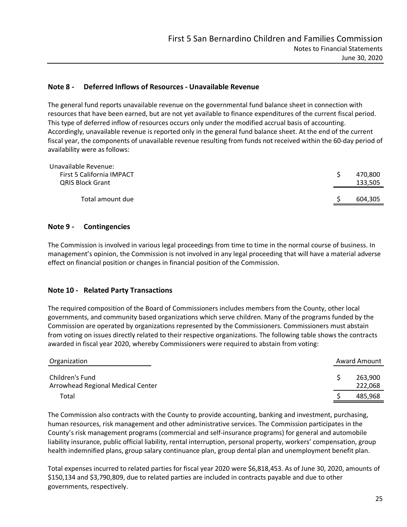# **Note 8 - Deferred Inflows of Resources - Unavailable Revenue**

The general fund reports unavailable revenue on the governmental fund balance sheet in connection with resources that have been earned, but are not yet available to finance expenditures of the current fiscal period. This type of deferred inflow of resources occurs only under the modified accrual basis of accounting. Accordingly, unavailable revenue is reported only in the general fund balance sheet. At the end of the current fiscal year, the components of unavailable revenue resulting from funds not received within the 60-day period of availability were as follows:

| Unavailable Revenue:<br>First 5 California IMPACT<br><b>QRIS Block Grant</b> | 470.800<br>133,505 |
|------------------------------------------------------------------------------|--------------------|
| Total amount due                                                             | 604,305            |

# **Note 9 - Contingencies**

The Commission is involved in various legal proceedings from time to time in the normal course of business. In management's opinion, the Commission is not involved in any legal proceeding that will have a material adverse effect on financial position or changes in financial position of the Commission.

# **Note 10 - Related Party Transactions**

The required composition of the Board of Commissioners includes members from the County, other local governments, and community based organizations which serve children. Many of the programs funded by the Commission are operated by organizations represented by the Commissioners. Commissioners must abstain from voting on issues directly related to their respective organizations. The following table shows the contracts awarded in fiscal year 2020, whereby Commissioners were required to abstain from voting:

| Organization                                         | Award Amount       |
|------------------------------------------------------|--------------------|
| Children's Fund<br>Arrowhead Regional Medical Center | 263,900<br>222,068 |
| Total                                                | 485,968            |

The Commission also contracts with the County to provide accounting, banking and investment, purchasing, human resources, risk management and other administrative services. The Commission participates in the County's risk management programs (commercial and self-insurance programs) for general and automobile liability insurance, public official liability, rental interruption, personal property, workers' compensation, group health indemnified plans, group salary continuance plan, group dental plan and unemployment benefit plan.

Total expenses incurred to related parties for fiscal year 2020 were \$6,818,453. As of June 30, 2020, amounts of \$150,134 and \$3,790,809, due to related parties are included in contracts payable and due to other governments, respectively.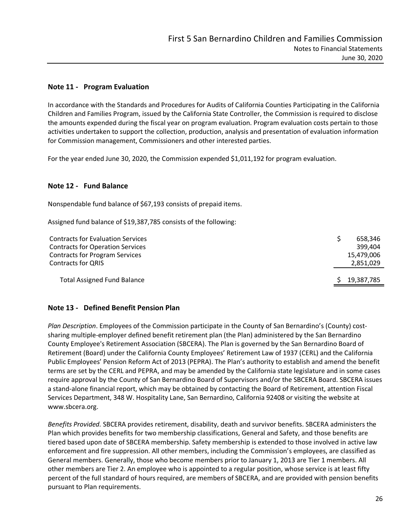# **Note 11 - Program Evaluation**

In accordance with the Standards and Procedures for Audits of California Counties Participating in the California Children and Families Program, issued by the California State Controller, the Commission is required to disclose the amounts expended during the fiscal year on program evaluation. Program evaluation costs pertain to those activities undertaken to support the collection, production, analysis and presentation of evaluation information for Commission management, Commissioners and other interested parties.

For the year ended June 30, 2020, the Commission expended \$1,011,192 for program evaluation.

# **Note 12 - Fund Balance**

Nonspendable fund balance of \$67,193 consists of prepaid items.

Assigned fund balance of \$19,387,785 consists of the following:

Contracts for Evaluation Services **by Equal Contracts** for Evaluation Services **658,346** Contracts for Operation Services 399,404 Contracts for Program Services **15,479,006** Contracts for Program Services Contracts for QRIS 2,851,029

Total Assigned Fund Balance **\$ 19,387,785** 

# **Note 13 - Defined Benefit Pension Plan**

*Plan Description*. Employees of the Commission participate in the County of San Bernardino's (County) costsharing multiple-employer defined benefit retirement plan (the Plan) administered by the San Bernardino County Employee's Retirement Association (SBCERA). The Plan is governed by the San Bernardino Board of Retirement (Board) under the California County Employees' Retirement Law of 1937 (CERL) and the California Public Employees' Pension Reform Act of 2013 (PEPRA). The Plan's authority to establish and amend the benefit terms are set by the CERL and PEPRA, and may be amended by the California state legislature and in some cases require approval by the County of San Bernardino Board of Supervisors and/or the SBCERA Board. SBCERA issues a stand-alone financial report, which may be obtained by contacting the Board of Retirement, attention Fiscal Services Department, 348 W. Hospitality Lane, San Bernardino, California 92408 or visiting the website at www.sbcera.org.

*Benefits Provided.* SBCERA provides retirement, disability, death and survivor benefits. SBCERA administers the Plan which provides benefits for two membership classifications, General and Safety, and those benefits are tiered based upon date of SBCERA membership. Safety membership is extended to those involved in active law enforcement and fire suppression. All other members, including the Commission's employees, are classified as General members. Generally, those who become members prior to January 1, 2013 are Tier 1 members. All other members are Tier 2. An employee who is appointed to a regular position, whose service is at least fifty percent of the full standard of hours required, are members of SBCERA, and are provided with pension benefits pursuant to Plan requirements.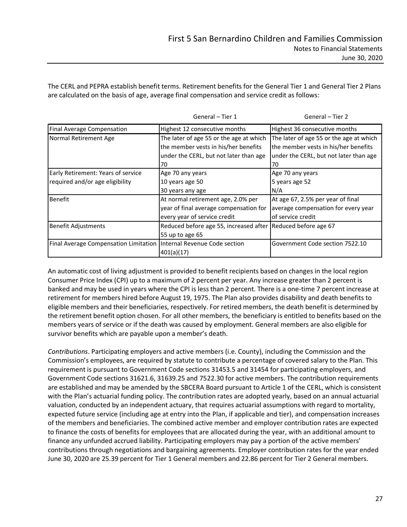General – Tier 1 General – Tier 2

The CERL and PEPRA establish benefit terms. Retirement benefits for the General Tier 1 and General Tier 2 Plans are calculated on the basis of age, average final compensation and service credit as follows:

| Final Average Compensation            | Highest 12 consecutive months                                | Highest 36 consecutive months           |
|---------------------------------------|--------------------------------------------------------------|-----------------------------------------|
| Normal Retirement Age                 | The later of age 55 or the age at which                      | The later of age 55 or the age at which |
|                                       | the member vests in his/her benefits                         | the member vests in his/her benefits    |
|                                       | under the CERL, but not later than age                       | under the CERL, but not later than age  |
|                                       | 70                                                           | 70                                      |
| Early Retirement: Years of service    | Age 70 any years                                             | Age 70 any years                        |
| required and/or age eligibility       | 10 years age 50                                              | 5 years age 52                          |
|                                       | 30 years any age                                             | N/A                                     |
| <b>Benefit</b>                        | At normal retirement age, 2.0% per                           | At age 67, 2.5% per year of final       |
|                                       | year of final average compensation for                       | average compensation for every year     |
|                                       | every year of service credit                                 | of service credit                       |
| <b>Benefit Adjustments</b>            | Reduced before age 55, increased after Reduced before age 67 |                                         |
|                                       | 55 up to age 65                                              |                                         |
| Final Average Compensation Limitation | Internal Revenue Code section                                | Government Code section 7522.10         |
|                                       | 401(a)(17)                                                   |                                         |

An automatic cost of living adjustment is provided to benefit recipients based on changes in the local region Consumer Price Index (CPI) up to a maximum of 2 percent per year. Any increase greater than 2 percent is banked and may be used in years where the CPI is less than 2 percent. There is a one-time 7 percent increase at retirement for members hired before August 19, 1975. The Plan also provides disability and death benefits to eligible members and their beneficiaries, respectively. For retired members, the death benefit is determined by the retirement benefit option chosen. For all other members, the beneficiary is entitled to benefits based on the members years of service or if the death was caused by employment. General members are also eligible for survivor benefits which are payable upon a member's death.

*Contributions*. Participating employers and active members (i.e. County), including the Commission and the Commission's employees, are required by statute to contribute a percentage of covered salary to the Plan. This requirement is pursuant to Government Code sections 31453.5 and 31454 for participating employers, and Government Code sections 31621.6, 31639.25 and 7522.30 for active members. The contribution requirements are established and may be amended by the SBCERA Board pursuant to Article 1 of the CERL, which is consistent with the Plan's actuarial funding policy. The contribution rates are adopted yearly, based on an annual actuarial valuation, conducted by an independent actuary, that requires actuarial assumptions with regard to mortality, expected future service (including age at entry into the Plan, if applicable and tier), and compensation increases of the members and beneficiaries. The combined active member and employer contribution rates are expected to finance the costs of benefits for employees that are allocated during the year, with an additional amount to finance any unfunded accrued liability. Participating employers may pay a portion of the active members' contributions through negotiations and bargaining agreements. Employer contribution rates for the year ended June 30, 2020 are 25.39 percent for Tier 1 General members and 22.86 percent for Tier 2 General members.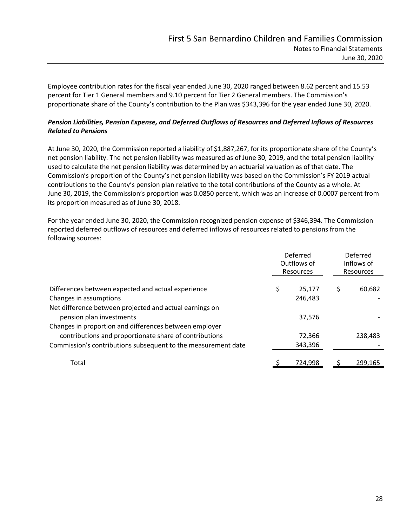Employee contribution rates for the fiscal year ended June 30, 2020 ranged between 8.62 percent and 15.53 percent for Tier 1 General members and 9.10 percent for Tier 2 General members. The Commission's proportionate share of the County's contribution to the Plan was \$343,396 for the year ended June 30, 2020.

# *Pension Liabilities, Pension Expense, and Deferred Outflows of Resources and Deferred Inflows of Resources Related to Pensions*

At June 30, 2020, the Commission reported a liability of \$1,887,267, for its proportionate share of the County's net pension liability. The net pension liability was measured as of June 30, 2019, and the total pension liability used to calculate the net pension liability was determined by an actuarial valuation as of that date. The Commission's proportion of the County's net pension liability was based on the Commission's FY 2019 actual contributions to the County's pension plan relative to the total contributions of the County as a whole. At June 30, 2019, the Commission's proportion was 0.0850 percent, which was an increase of 0.0007 percent from its proportion measured as of June 30, 2018.

For the year ended June 30, 2020, the Commission recognized pension expense of \$346,394. The Commission reported deferred outflows of resources and deferred inflows of resources related to pensions from the following sources:

|                                                               | Deferred<br>Outflows of<br>Resources |         |   | Deferred<br>Inflows of<br>Resources |  |
|---------------------------------------------------------------|--------------------------------------|---------|---|-------------------------------------|--|
| Differences between expected and actual experience            | \$                                   | 25,177  | S | 60,682                              |  |
| Changes in assumptions                                        |                                      | 246,483 |   |                                     |  |
| Net difference between projected and actual earnings on       |                                      |         |   |                                     |  |
| pension plan investments                                      |                                      | 37,576  |   |                                     |  |
| Changes in proportion and differences between employer        |                                      |         |   |                                     |  |
| contributions and proportionate share of contributions        |                                      | 72,366  |   | 238,483                             |  |
| Commission's contributions subsequent to the measurement date |                                      | 343,396 |   |                                     |  |
|                                                               |                                      |         |   |                                     |  |
| Total                                                         |                                      | 724.998 |   | 299,165                             |  |
|                                                               |                                      |         |   |                                     |  |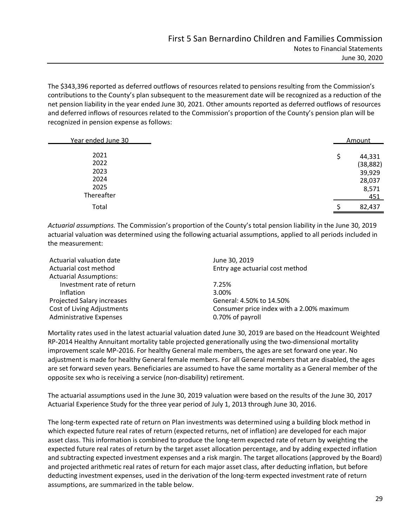The \$343,396 reported as deferred outflows of resources related to pensions resulting from the Commission's contributions to the County's plan subsequent to the measurement date will be recognized as a reduction of the net pension liability in the year ended June 30, 2021. Other amounts reported as deferred outflows of resources and deferred inflows of resources related to the Commission's proportion of the County's pension plan will be recognized in pension expense as follows:

| Year ended June 30                   | <u>Amount</u>                                 |
|--------------------------------------|-----------------------------------------------|
| 2021<br>2022<br>2023<br>2024<br>2025 | \$<br>44,331<br>(38, 882)<br>39,929<br>28,037 |
| Thereafter                           | 8,571<br>451                                  |
| Total                                | 82,437<br>S                                   |

*Actuarial assumptions.* The Commission's proportion of the County's total pension liability in the June 30, 2019 actuarial valuation was determined using the following actuarial assumptions, applied to all periods included in the measurement:

| Actuarial valuation date       | June 30, 2019                             |
|--------------------------------|-------------------------------------------|
| Actuarial cost method          | Entry age actuarial cost method           |
| <b>Actuarial Assumptions:</b>  |                                           |
| Investment rate of return      | 7.25%                                     |
| Inflation                      | 3.00%                                     |
| Projected Salary increases     | General: 4.50% to 14.50%                  |
| Cost of Living Adjustments     | Consumer price index with a 2.00% maximum |
| <b>Administrative Expenses</b> | 0.70% of payroll                          |

Mortality rates used in the latest actuarial valuation dated June 30, 2019 are based on the Headcount Weighted RP-2014 Healthy Annuitant mortality table projected generationally using the two-dimensional mortality improvement scale MP-2016. For healthy General male members, the ages are set forward one year. No adjustment is made for healthy General female members. For all General members that are disabled, the ages are set forward seven years. Beneficiaries are assumed to have the same mortality as a General member of the opposite sex who is receiving a service (non-disability) retirement.

The actuarial assumptions used in the June 30, 2019 valuation were based on the results of the June 30, 2017 Actuarial Experience Study for the three year period of July 1, 2013 through June 30, 2016.

The long-term expected rate of return on Plan investments was determined using a building block method in which expected future real rates of return (expected returns, net of inflation) are developed for each major asset class. This information is combined to produce the long-term expected rate of return by weighting the expected future real rates of return by the target asset allocation percentage, and by adding expected inflation and subtracting expected investment expenses and a risk margin. The target allocations (approved by the Board) and projected arithmetic real rates of return for each major asset class, after deducting inflation, but before deducting investment expenses, used in the derivation of the long-term expected investment rate of return assumptions, are summarized in the table below.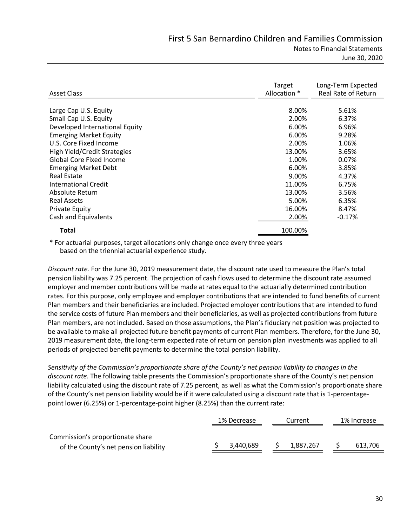| <b>Asset Class</b>                  | Target<br>Allocation * | Long-Term Expected<br><b>Real Rate of Return</b> |
|-------------------------------------|------------------------|--------------------------------------------------|
|                                     |                        |                                                  |
| Large Cap U.S. Equity               | 8.00%                  | 5.61%                                            |
| Small Cap U.S. Equity               | 2.00%                  | 6.37%                                            |
| Developed International Equity      | 6.00%                  | 6.96%                                            |
| <b>Emerging Market Equity</b>       | 6.00%                  | 9.28%                                            |
| U.S. Core Fixed Income              | 2.00%                  | 1.06%                                            |
| <b>High Yield/Credit Strategies</b> | 13.00%                 | 3.65%                                            |
| <b>Global Core Fixed Income</b>     | 1.00%                  | 0.07%                                            |
| <b>Emerging Market Debt</b>         | 6.00%                  | 3.85%                                            |
| <b>Real Estate</b>                  | 9.00%                  | 4.37%                                            |
| International Credit                | 11.00%                 | 6.75%                                            |
| Absolute Return                     | 13.00%                 | 3.56%                                            |
| <b>Real Assets</b>                  | 5.00%                  | 6.35%                                            |
| <b>Private Equity</b>               | 16.00%                 | 8.47%                                            |
| Cash and Equivalents                | 2.00%                  | $-0.17%$                                         |
| Total                               | 100.00%                |                                                  |

\* For actuarial purposes, target allocations only change once every three years based on the triennial actuarial experience study.

*Discount rate.* For the June 30, 2019 measurement date, the discount rate used to measure the Plan's total pension liability was 7.25 percent. The projection of cash flows used to determine the discount rate assumed employer and member contributions will be made at rates equal to the actuarially determined contribution rates. For this purpose, only employee and employer contributions that are intended to fund benefits of current Plan members and their beneficiaries are included. Projected employer contributions that are intended to fund the service costs of future Plan members and their beneficiaries, as well as projected contributions from future Plan members, are not included. Based on those assumptions, the Plan's fiduciary net position was projected to be available to make all projected future benefit payments of current Plan members. Therefore, for the June 30, 2019 measurement date, the long-term expected rate of return on pension plan investments was applied to all periods of projected benefit payments to determine the total pension liability.

*Sensitivity of the Commission's proportionate share of the County's net pension liability to changes in the discount rate*. The following table presents the Commission's proportionate share of the County's net pension liability calculated using the discount rate of 7.25 percent, as well as what the Commission's proportionate share of the County's net pension liability would be if it were calculated using a discount rate that is 1-percentagepoint lower (6.25%) or 1-percentage-point higher (8.25%) than the current rate:

|                                                                           | 1% Decrease |           |  | Current   | 1% Increase |
|---------------------------------------------------------------------------|-------------|-----------|--|-----------|-------------|
| Commission's proportionate share<br>of the County's net pension liability |             | 3,440,689 |  | 1,887,267 | 613.706     |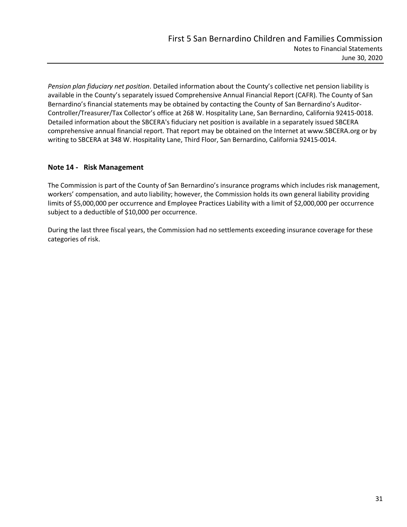*Pension plan fiduciary net position*. Detailed information about the County's collective net pension liability is available in the County's separately issued Comprehensive Annual Financial Report (CAFR). The County of San Bernardino's financial statements may be obtained by contacting the County of San Bernardino's Auditor-Controller/Treasurer/Tax Collector's office at 268 W. Hospitality Lane, San Bernardino, California 92415-0018. Detailed information about the SBCERA's fiduciary net position is available in a separately issued SBCERA comprehensive annual financial report. That report may be obtained on the Internet at www.SBCERA.org or by writing to SBCERA at 348 W. Hospitality Lane, Third Floor, San Bernardino, California 92415-0014.

# **Note 14 - Risk Management**

The Commission is part of the County of San Bernardino's insurance programs which includes risk management, workers' compensation, and auto liability; however, the Commission holds its own general liability providing limits of \$5,000,000 per occurrence and Employee Practices Liability with a limit of \$2,000,000 per occurrence subject to a deductible of \$10,000 per occurrence.

During the last three fiscal years, the Commission had no settlements exceeding insurance coverage for these categories of risk.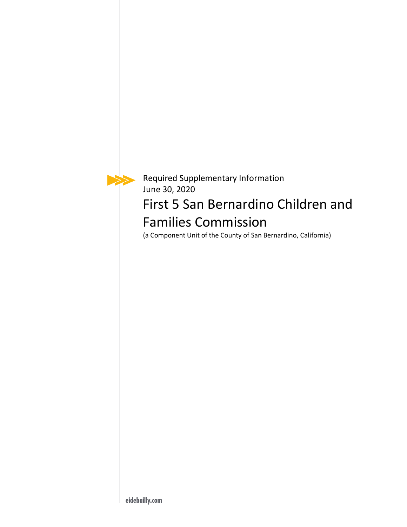

**eidebailly.com**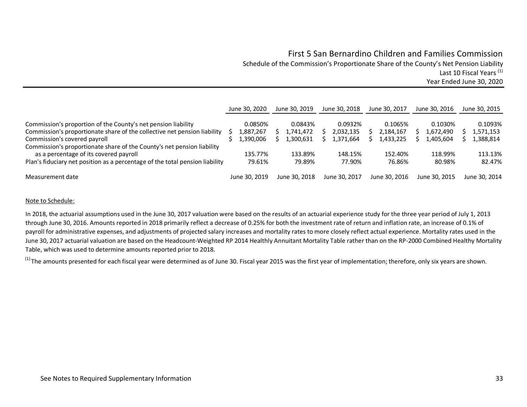# First 5 San Bernardino Children and Families Commission

Schedule of the Commission's Proportionate Share of the County's Net Pension Liability Last 10 Fiscal Years (1) Year Ended June 30, 2020

|                                                                                                                                           | June 30, 2020 |                      | June 30, 2019 |                      | June 30, 2018 |                      | June 30, 2017 |                      | June 30, 2016 |                      | June 30, 2015        |
|-------------------------------------------------------------------------------------------------------------------------------------------|---------------|----------------------|---------------|----------------------|---------------|----------------------|---------------|----------------------|---------------|----------------------|----------------------|
| Commission's proportion of the County's net pension liability<br>Commission's proportionate share of the collective net pension liability |               | 0.0850%<br>1,887,267 |               | 0.0843%<br>1,741,472 |               | 0.0932%<br>2,032,135 |               | 0.1065%<br>2,184,167 |               | 0.1030%<br>1,672,490 | 0.1093%<br>1,571,153 |
| Commission's covered payroll                                                                                                              |               | 1,390,006            |               | 1,300,631            |               | L,371,664            |               | 1,433,225            |               | 1,405,604            | L,388,814            |
| Commission's proportionate share of the County's net pension liability<br>as a percentage of its covered payroll                          |               | 135.77%              |               | 133.89%              |               | 148.15%              |               | 152.40%              |               | 118.99%              | 113.13%              |
| Plan's fiduciary net position as a percentage of the total pension liability                                                              |               | 79.61%               |               | 79.89%               |               | 77.90%               |               | 76.86%               |               | 80.98%               | 82.47%               |
| Measurement date                                                                                                                          |               | June 30, 2019        |               | June 30, 2018        |               | June 30, 2017        |               | June 30, 2016        |               | June 30, 2015        | June 30, 2014        |

#### Note to Schedule:

In 2018, the actuarial assumptions used in the June 30, 2017 valuation were based on the results of an actuarial experience study for the three year period of July 1, 2013 through June 30, 2016. Amounts reported in 2018 primarily reflect a decrease of 0.25% for both the investment rate of return and inflation rate, an increase of 0.1% of payroll for administrative expenses, and adjustments of projected salary increases and mortality rates to more closely reflect actual experience. Mortality rates used in the June 30, 2017 actuarial valuation are based on the Headcount-Weighted RP 2014 Healthly Annuitant Mortality Table rather than on the RP-2000 Combined Healthy Mortality Table, which was used to determine amounts reported prior to 2018.

 $^{(1)}$ The amounts presented for each fiscal year were determined as of June 30. Fiscal year 2015 was the first year of implementation; therefore, only six years are shown.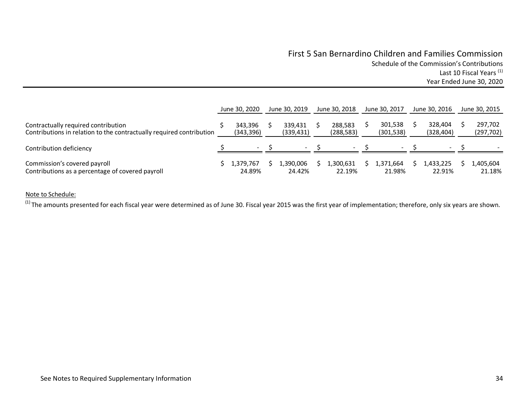# First 5 San Bernardino Children and Families Commission Schedule of the Commission's Contributions Last 10 Fiscal Years (1) Year Ended June 30, 2020

|                                                                                                             | June 30, 2020 |                      | June 30, 2019 |                      | June 30, 2018 |                       | June 30, 2017 |                       | June 30, 2016 |                       | June 30, 2015 |                      |
|-------------------------------------------------------------------------------------------------------------|---------------|----------------------|---------------|----------------------|---------------|-----------------------|---------------|-----------------------|---------------|-----------------------|---------------|----------------------|
| Contractually required contribution<br>Contributions in relation to the contractually required contribution |               | 343.396<br>(343,396) |               | 339.431<br>(339,431) |               | 288.583<br>(288, 583) |               | 301,538<br>(301, 538) |               | 328.404<br>(328, 404) |               | 297,702<br>(297,702) |
| Contribution deficiency                                                                                     |               | $\sim$               |               | $\sim$               |               | $\sim$                |               |                       |               | $\sim$                |               |                      |
| Commission's covered payroll<br>Contributions as a percentage of covered payroll                            |               | 1,379,767<br>24.89%  |               | 1,390,006<br>24.42%  |               | ,300,631<br>22.19%    |               | 1,371,664<br>21.98%   |               | 1,433,225<br>22.91%   |               | 1,405,604<br>21.18%  |

#### Note to Schedule:

 $^{(1)}$  The amounts presented for each fiscal year were determined as of June 30. Fiscal year 2015 was the first year of implementation; therefore, only six years are shown.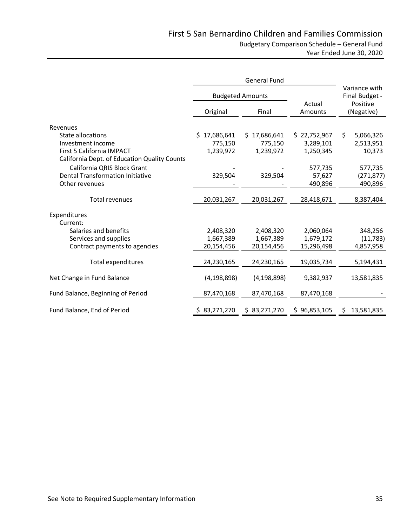|                                                                                                                                          |                                         | <b>Budgeted Amounts</b>              |                                        | Variance with<br>Final Budget -        |  |  |  |
|------------------------------------------------------------------------------------------------------------------------------------------|-----------------------------------------|--------------------------------------|----------------------------------------|----------------------------------------|--|--|--|
|                                                                                                                                          | Original                                | Final                                | Actual<br>Amounts                      | Positive<br>(Negative)                 |  |  |  |
| Revenues                                                                                                                                 |                                         |                                      |                                        |                                        |  |  |  |
| State allocations<br>Investment income<br>First 5 California IMPACT                                                                      | 17,686,641<br>S<br>775,150<br>1,239,972 | \$17,686,641<br>775,150<br>1,239,972 | \$22,752,967<br>3,289,101<br>1,250,345 | \$<br>5,066,326<br>2,513,951<br>10,373 |  |  |  |
| California Dept. of Education Quality Counts<br>California QRIS Block Grant<br><b>Dental Transformation Initiative</b><br>Other revenues | 329,504                                 | 329,504                              | 577,735<br>57,627<br>490,896           | 577,735<br>(271, 877)<br>490,896       |  |  |  |
| Total revenues                                                                                                                           | 20,031,267                              | 20,031,267                           | 28,418,671                             | 8,387,404                              |  |  |  |
| Expenditures<br>Current:                                                                                                                 |                                         |                                      |                                        |                                        |  |  |  |
| Salaries and benefits<br>Services and supplies<br>Contract payments to agencies                                                          | 2,408,320<br>1,667,389<br>20,154,456    | 2,408,320<br>1,667,389<br>20,154,456 | 2,060,064<br>1,679,172<br>15,296,498   | 348,256<br>(11, 783)<br>4,857,958      |  |  |  |
| <b>Total expenditures</b>                                                                                                                | 24,230,165                              | 24,230,165                           | 19,035,734                             | 5,194,431                              |  |  |  |
| Net Change in Fund Balance                                                                                                               | (4, 198, 898)                           | (4, 198, 898)                        | 9,382,937                              | 13,581,835                             |  |  |  |
| Fund Balance, Beginning of Period                                                                                                        | 87,470,168                              | 87,470,168                           | 87,470,168                             |                                        |  |  |  |
| Fund Balance, End of Period                                                                                                              | \$83,271,270                            | \$83,271,270                         | \$96,853,105                           | 13,581,835<br>Ş.                       |  |  |  |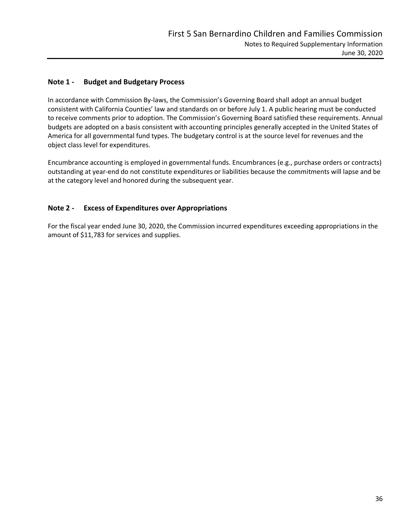# **Note 1 - Budget and Budgetary Process**

In accordance with Commission By-laws, the Commission's Governing Board shall adopt an annual budget consistent with California Counties' law and standards on or before July 1. A public hearing must be conducted to receive comments prior to adoption. The Commission's Governing Board satisfied these requirements. Annual budgets are adopted on a basis consistent with accounting principles generally accepted in the United States of America for all governmental fund types. The budgetary control is at the source level for revenues and the object class level for expenditures.

Encumbrance accounting is employed in governmental funds. Encumbrances (e.g., purchase orders or contracts) outstanding at year-end do not constitute expenditures or liabilities because the commitments will lapse and be at the category level and honored during the subsequent year.

# **Note 2 - Excess of Expenditures over Appropriations**

For the fiscal year ended June 30, 2020, the Commission incurred expenditures exceeding appropriations in the amount of \$11,783 for services and supplies.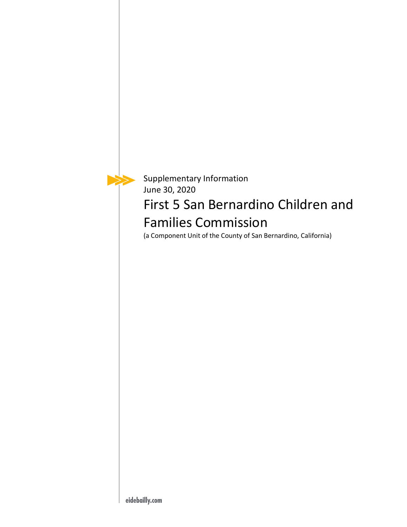

Supplementary Information June 30, 2020

# First 5 San Bernardino Children and Families Commission

(a Component Unit of the County of San Bernardino, California)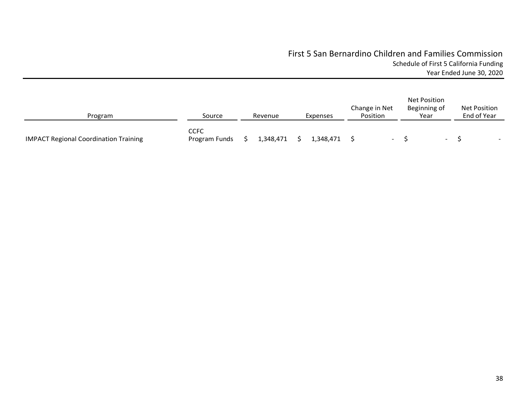# First 5 San Bernardino Children and Families Commission Schedule of First 5 California Funding Year Ended June 30, 2020

| Program                                      | Source                       | Revenue |           | Expenses  |  | Change in Net<br>Position |  | Net Position<br>Beginning of<br>Year | <b>Net Position</b><br>End of Year |        |
|----------------------------------------------|------------------------------|---------|-----------|-----------|--|---------------------------|--|--------------------------------------|------------------------------------|--------|
| <b>IMPACT Regional Coordination Training</b> | <b>CCFC</b><br>Program Funds |         | 1,348,471 | 1,348,471 |  | $\sim$                    |  |                                      |                                    | $\sim$ |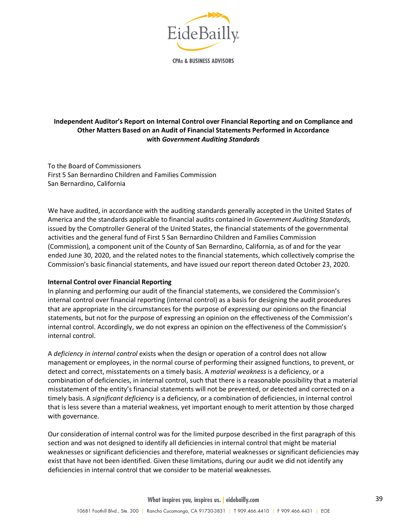

**CPAs & BUSINESS ADVISORS** 

# **Independent Auditor's Report on Internal Control over Financial Reporting and on Compliance and Other Matters Based on an Audit of Financial Statements Performed in Accordance with** *Government Auditing Standards*

To the Board of Commissioners First 5 San Bernardino Children and Families Commission San Bernardino, California

We have audited, in accordance with the auditing standards generally accepted in the United States of America and the standards applicable to financial audits contained in *Government Auditing Standards,* issued by the Comptroller General of the United States, the financial statements of the governmental activities and the general fund of First 5 San Bernardino Children and Families Commission (Commission), a component unit of the County of San Bernardino, California, as of and for the year ended June 30, 2020, and the related notes to the financial statements, which collectively comprise the Commission's basic financial statements, and have issued our report thereon dated October 23, 2020.

# **Internal Control over Financial Reporting**

In planning and performing our audit of the financial statements, we considered the Commission's internal control over financial reporting (internal control) as a basis for designing the audit procedures that are appropriate in the circumstances for the purpose of expressing our opinions on the financial statements, but not for the purpose of expressing an opinion on the effectiveness of the Commission's internal control. Accordingly, we do not express an opinion on the effectiveness of the Commission's internal control.

A *deficiency in internal control* exists when the design or operation of a control does not allow management or employees, in the normal course of performing their assigned functions, to prevent, or detect and correct, misstatements on a timely basis. A *material weakness* is a deficiency, or a combination of deficiencies, in internal control, such that there is a reasonable possibility that a material misstatement of the entity's financial statements will not be prevented, or detected and corrected on a timely basis. A *significant deficiency* is a deficiency, or a combination of deficiencies, in internal control that is less severe than a material weakness, yet important enough to merit attention by those charged with governance.

Our consideration of internal control was for the limited purpose described in the first paragraph of this section and was not designed to identify all deficiencies in internal control that might be material weaknesses or significant deficiencies and therefore, material weaknesses or significant deficiencies may exist that have not been identified. Given these limitations, during our audit we did not identify any deficiencies in internal control that we consider to be material weaknesses.

**What inspires you, inspires us. | eidebailly.com**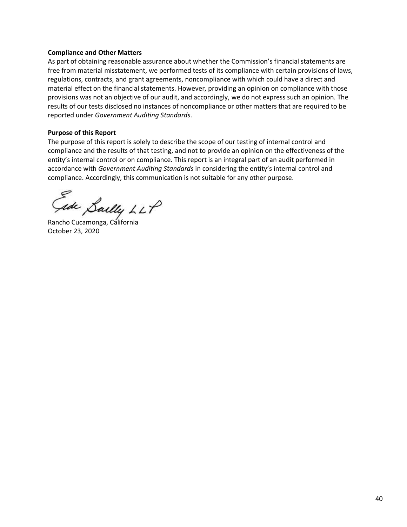# **Compliance and Other Matters**

As part of obtaining reasonable assurance about whether the Commission's financial statements are free from material misstatement, we performed tests of its compliance with certain provisions of laws, regulations, contracts, and grant agreements, noncompliance with which could have a direct and material effect on the financial statements. However, providing an opinion on compliance with those provisions was not an objective of our audit, and accordingly, we do not express such an opinion. The results of our tests disclosed no instances of noncompliance or other matters that are required to be reported under *Government Auditing Standards*.

#### **Purpose of this Report**

The purpose of this report is solely to describe the scope of our testing of internal control and compliance and the results of that testing, and not to provide an opinion on the effectiveness of the entity's internal control or on compliance. This report is an integral part of an audit performed in accordance with *Government Auditing Standards* in considering the entity's internal control and compliance. Accordingly, this communication is not suitable for any other purpose.

Sally LLP<br>Rancho Cucamonga, California

October 23, 2020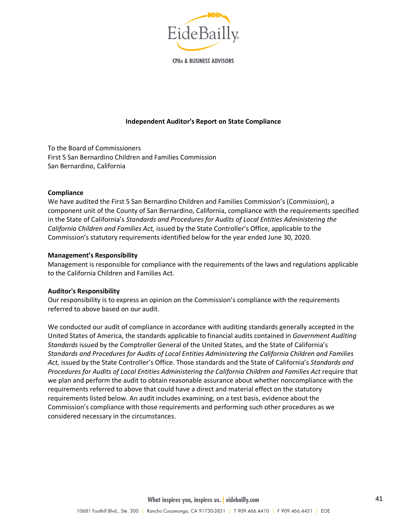

**CPAs & BUSINESS ADVISORS** 

#### **Independent Auditor's Report on State Compliance**

To the Board of Commissioners First 5 San Bernardino Children and Families Commission San Bernardino, California

#### **Compliance**

We have audited the First 5 San Bernardino Children and Families Commission's (Commission), a component unit of the County of San Bernardino, California, compliance with the requirements specified in the State of California's *Standards and Procedures for Audits of Local Entities Administering the California Children and Families Act,* issued by the State Controller's Office, applicable to the Commission's statutory requirements identified below for the year ended June 30, 2020.

#### **Management's Responsibility**

Management is responsible for compliance with the requirements of the laws and regulations applicable to the California Children and Families Act.

#### **Auditor's Responsibility**

Our responsibility is to express an opinion on the Commission's compliance with the requirements referred to above based on our audit.

We conducted our audit of compliance in accordance with auditing standards generally accepted in the United States of America, the standards applicable to financial audits contained in *Government Auditing Standards* issued by the Comptroller General of the United States, and the State of California's *Standards and Procedures for Audits of Local Entities Administering the California Children and Families Act,* issued by the State Controller's Office. Those standards and the State of California's *Standards and Procedures for Audits of Local Entities Administering the California Children and Families Act* require that we plan and perform the audit to obtain reasonable assurance about whether noncompliance with the requirements referred to above that could have a direct and material effect on the statutory requirements listed below. An audit includes examining, on a test basis, evidence about the Commission's compliance with those requirements and performing such other procedures as we considered necessary in the circumstances.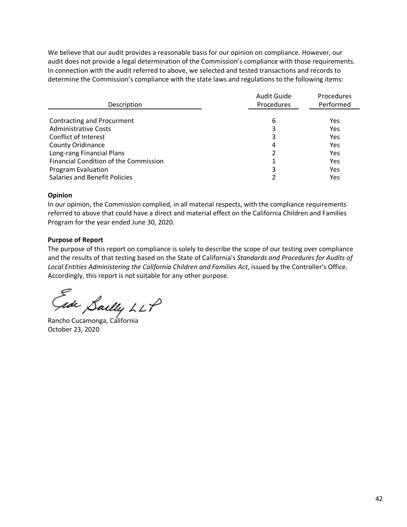We believe that our audit provides a reasonable basis for our opinion on compliance. However, our audit does not provide a legal determination of the Commission's compliance with those requirements. In connection with the audit referred to above, we selected and tested transactions and records to determine the Commission's compliance with the state laws and regulations to the following items:

| Description                                                                                                                                                                                                      | <b>Audit Guide</b><br>Procedures | Procedures<br>Performed                       |
|------------------------------------------------------------------------------------------------------------------------------------------------------------------------------------------------------------------|----------------------------------|-----------------------------------------------|
| Contracting and Procurment<br><b>Administrative Costs</b><br>Conflict of Interest<br><b>County Oridinance</b><br>Long-rang Financial Plans<br>Financial Condition of the Commission<br><b>Program Evaluation</b> | 6<br>3<br>3<br>4<br>1<br>3       | Yes<br>Yes<br>Yes<br>Yes<br>Yes<br>Yes<br>Yes |
| <b>Salaries and Benefit Policies</b>                                                                                                                                                                             |                                  | Yes                                           |

# **Opinion**

In our opinion, the Commission complied, in all material respects, with the compliance requirements referred to above that could have a direct and material effect on the California Children and Families Program for the year ended June 30, 2020.

# **Purpose of Report**

The purpose of this report on compliance is solely to describe the scope of our testing over compliance and the results of that testing based on the State of California's *Standards and Procedures for Audits of Local Entities Administering the California Children and Families Act*, issued by the Controller's Office. Accordingly, this report is not suitable for any other purpose.

Gade Saelly LLP

October 23, 2020